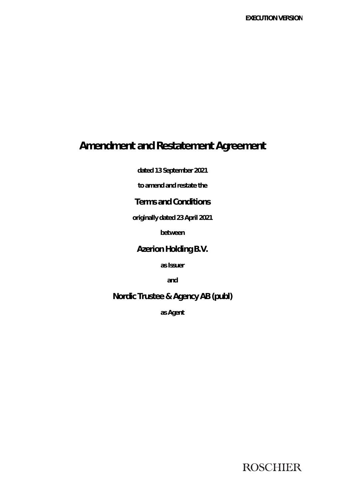# **Amendment and Restatement Agreement**

**dated 13 September 2021** 

**to amend and restate the** 

# **Terms and Conditions**

**originally dated 23 April 2021** 

**between** 

# **Azerion Holding B.V.**

**as Issuer** 

**and** 

# **Nordic Trustee & Agency AB (publ)**

**as Agent** 

**ROSCHIER**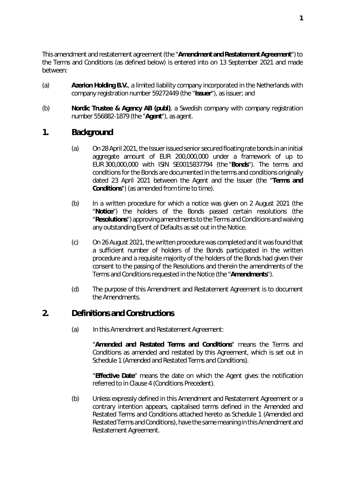This amendment and restatement agreement (the "**Amendment and Restatement Agreement**") to the Terms and Conditions (as defined below) is entered into on 13 September 2021 and made between:

- (a) **Azerion Holding B.V.**, a limited liability company incorporated in the Netherlands with company registration number 59272449 (the "**Issuer**"), as issuer; and
- (b) **Nordic Trustee & Agency AB (publ)**, a Swedish company with company registration number 556882-1879 (the "**Agent**"), as agent.

### **1. Background**

- (a) On 28 April 2021, the Issuer issued seniorsecured floating rate bonds in an initial aggregate amount of EUR 200,000,000 under a framework of up to EUR 300,000,000 with ISIN SE0015837794 (the "**Bonds**"). The terms and conditions for the Bonds are documented in the terms and conditions originally dated 23 April 2021 between the Agent and the Issuer (the "**Terms and Conditions**") (as amended from time to time).
- (b) In a written procedure for which a notice was given on 2 August 2021 (the "**Notice**") the holders of the Bonds passed certain resolutions (the "**Resolutions**") approving amendments to the Terms and Conditions and waiving any outstanding Event of Defaults as set out in the Notice.
- (c) On 26 August 2021, the written procedure was completed and it was found that a sufficient number of holders of the Bonds participated in the written procedure and a requisite majority of the holders of the Bonds had given their consent to the passing of the Resolutions and therein the amendments of the Terms and Conditions requested in the Notice (the "**Amendments**").
- (d) The purpose of this Amendment and Restatement Agreement is to document the Amendments.

### **2. Definitions and Constructions**

(a) In this Amendment and Restatement Agreement:

"**Amended and Restated Terms and Conditions**" means the Terms and Conditions as amended and restated by this Agreement, which is set out in Schedule 1 (*Amended and Restated Terms and Conditions*).

"**Effective Date**" means the date on which the Agent gives the notification referred to in Clause 4 (*Conditions Precedent*).

(b) Unless expressly defined in this Amendment and Restatement Agreement or a contrary intention appears, capitalised terms defined in the Amended and Restated Terms and Conditions attached hereto as Schedule 1 (*Amended and Restated Terms and Conditions*), have the same meaning in this Amendment and Restatement Agreement.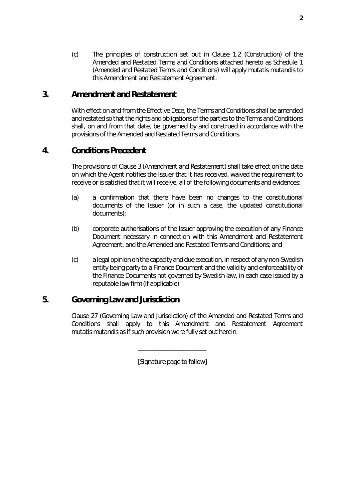(c) The principles of construction set out in Clause 1.2 (*Construction*) of the Amended and Restated Terms and Conditions attached hereto as Schedule 1 (*Amended and Restated Terms and Conditions*) will apply *mutatis mutandis* to this Amendment and Restatement Agreement.

### <span id="page-2-0"></span>**3. Amendment and Restatement**

With effect on and from the Effective Date, the Terms and Conditions shall be amended and restated so that the rights and obligations of the parties to the Terms and Conditions shall, on and from that date, be governed by and construed in accordance with the provisions of the Amended and Restated Terms and Conditions.

# **4. Conditions Precedent**

The provisions of Clause [3](#page-2-0) (*Amendment and Restatement*) shall take effect on the date on which the Agent notifies the Issuer that it has received, waived the requirement to receive or is satisfied that it will receive, all of the following documents and evidences:

- (a) a confirmation that there have been no changes to the constitutional documents of the Issuer (or in such a case, the updated constitutional documents);
- (b) corporate authorisations of the Issuer approving the execution of any Finance Document necessary in connection with this Amendment and Restatement Agreement, and the Amended and Restated Terms and Conditions; and
- (c) a legal opinion on the capacity and due execution, in respect of any non-Swedish entity being party to a Finance Document and the validity and enforceability of the Finance Documents not governed by Swedish law, in each case issued by a reputable law firm (if applicable).

# **5. Governing Law and Jurisdiction**

Clause 27 (*Governing Law and Jurisdiction*) of the Amended and Restated Terms and Conditions shall apply to this Amendment and Restatement Agreement *mutatis mutandis* as if such provision were fully set out herein.

[*Signature page to follow*]

\_\_\_\_\_\_\_\_\_\_\_\_\_\_\_\_\_\_\_\_\_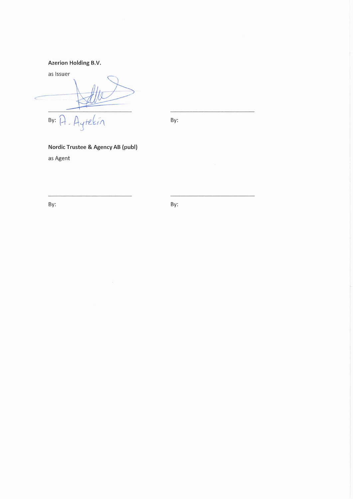#### Azerion Holding B.V.

as Issuer itelein  $By:  $\bigcap$$  $\bigwedge$ 

By:

### Nordic Trustee & Agency AB (publ)

as Agent

By: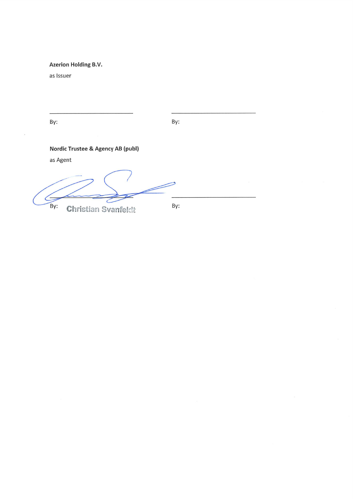Azerion Holding B.V.

as Issuer

By:

By:

Nordic Trustee & Agency AB (publ)

as Agent

Z  $\epsilon$ By: By: **Christian Svanfeldt**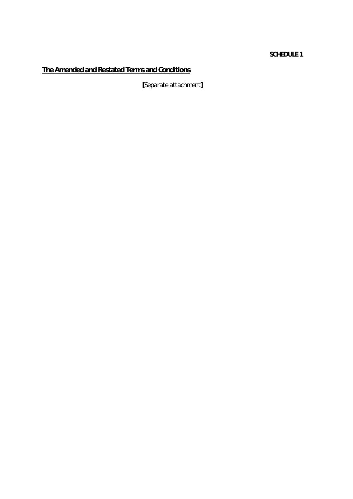#### **SCHEDULE 1**

# **The Amended and Restated Terms and Conditions**

**[***Separate attachment***]**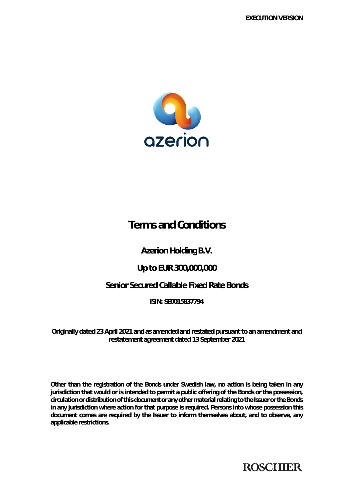

# **Terms and Conditions**

**Azerion Holding B.V.** 

# **Up to EUR 300,000,000**

# **Senior Secured Callable Fixed Rate Bonds**

**ISIN: SE0015837794** 

**Originally dated 23 April 2021 and as amended and restated pursuant to an amendment and restatement agreement dated 13 September 2021** 

**Other than the registration of the Bonds under Swedish law, no action is being taken in any jurisdiction that would or is intended to permit a public offering of the Bonds or the possession, circulation or distribution of this document or any other material relating to the Issuer or the Bonds in any jurisdiction where action for that purpose is required. Persons into whose possession this document comes are required by the Issuer to inform themselves about, and to observe, any applicable restrictions.** 

**ROSCHIER**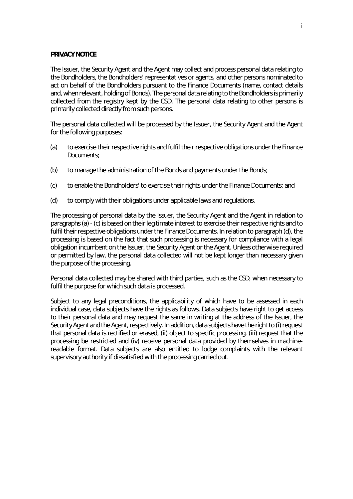#### **PRIVACY NOTICE**

The Issuer, the Security Agent and the Agent may collect and process personal data relating to the Bondholders, the Bondholders' representatives or agents, and other persons nominated to act on behalf of the Bondholders pursuant to the Finance Documents (name, contact details and, when relevant, holding of Bonds). The personal data relating to the Bondholders is primarily collected from the registry kept by the CSD. The personal data relating to other persons is primarily collected directly from such persons.

The personal data collected will be processed by the Issuer, the Security Agent and the Agent for the following purposes:

- <span id="page-7-0"></span>(a) to exercise their respective rights and fulfil their respective obligations under the Finance Documents;
- (b) to manage the administration of the Bonds and payments under the Bonds;
- <span id="page-7-1"></span>(c) to enable the Bondholders' to exercise their rights under the Finance Documents; and
- <span id="page-7-2"></span>(d) to comply with their obligations under applicable laws and regulations.

The processing of personal data by the Issuer, the Security Agent and the Agent in relation to paragraph[s \(a\)](#page-7-0) [- \(c\)](#page-7-1) is based on their legitimate interest to exercise their respective rights and to fulfil their respective obligations under the Finance Documents. In relation to paragraph [\(d\),](#page-7-2) the processing is based on the fact that such processing is necessary for compliance with a legal obligation incumbent on the Issuer, the Security Agent or the Agent. Unless otherwise required or permitted by law, the personal data collected will not be kept longer than necessary given the purpose of the processing.

Personal data collected may be shared with third parties, such as the CSD, when necessary to fulfil the purpose for which such data is processed.

Subject to any legal preconditions, the applicability of which have to be assessed in each individual case, data subjects have the rights as follows. Data subjects have right to get access to their personal data and may request the same in writing at the address of the Issuer, the Security Agent and the Agent, respectively. In addition, data subjects have the right to (i) request that personal data is rectified or erased, (ii) object to specific processing, (iii) request that the processing be restricted and (iv) receive personal data provided by themselves in machinereadable format. Data subjects are also entitled to lodge complaints with the relevant supervisory authority if dissatisfied with the processing carried out.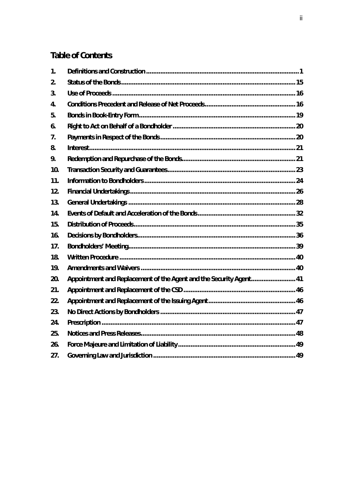# **Table of Contents**

| $\mathbf{1}$ . |                                                                    |  |
|----------------|--------------------------------------------------------------------|--|
| 2.             |                                                                    |  |
| 3.             |                                                                    |  |
| 4.             |                                                                    |  |
| 5.             |                                                                    |  |
| 6.             |                                                                    |  |
| 7.             |                                                                    |  |
| 8.             |                                                                    |  |
| 9.             |                                                                    |  |
| 10.            |                                                                    |  |
| 11.            |                                                                    |  |
| 12.            |                                                                    |  |
| 13.            |                                                                    |  |
| 14.            |                                                                    |  |
| 15.            |                                                                    |  |
| 16.            |                                                                    |  |
| 17.            |                                                                    |  |
| 18.            |                                                                    |  |
| 19.            |                                                                    |  |
| 20.            | Appointment and Replacement of the Agent and the Security Agent 41 |  |
| 21.            |                                                                    |  |
| 22.            |                                                                    |  |
| 23.            |                                                                    |  |
| 24.            |                                                                    |  |
| 25.            |                                                                    |  |
| 26.            |                                                                    |  |
| 27.            |                                                                    |  |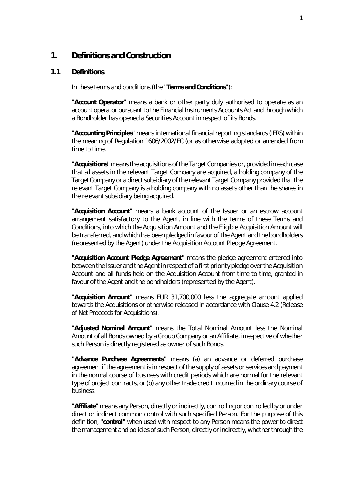#### <span id="page-9-0"></span>**1. Definitions and Construction**

#### **1.1 Definitions**

In these terms and conditions (the "**Terms and Conditions**"):

"**Account Operator**" means a bank or other party duly authorised to operate as an account operator pursuant to the Financial Instruments Accounts Act and through which a Bondholder has opened a Securities Account in respect of its Bonds.

"**Accounting Principles**" means international financial reporting standards (IFRS) within the meaning of Regulation 1606/2002/EC (or as otherwise adopted or amended from time to time.

"**Acquisitions**" means the acquisitions of the Target Companies or, provided in each case that all assets in the relevant Target Company are acquired, a holding company of the Target Company or a direct subsidiary of the relevant Target Company provided that the relevant Target Company is a holding company with no assets other than the shares in the relevant subsidiary being acquired.

"**Acquisition Account**" means a bank account of the Issuer or an escrow account arrangement satisfactory to the Agent, in line with the terms of these Terms and Conditions, into which the Acquisition Amount and the Eligible Acquisition Amount will be transferred, and which has been pledged in favour of the Agent and the bondholders (represented by the Agent) under the Acquisition Account Pledge Agreement.

"**Acquisition Account Pledge Agreement**" means the pledge agreement entered into between the Issuer and the Agent in respect of a first priority pledge over the Acquisition Account and all funds held on the Acquisition Account from time to time, granted in favour of the Agent and the bondholders (represented by the Agent).

"**Acquisition Amount**" means EUR 31,700,000 less the aggregate amount applied towards the Acquisitions or otherwise released in accordance with Clause [4.2](#page-26-0) (*[Release](#page-26-0)  [of Net Proceeds for Acquisitions](#page-26-0)*).

"**Adjusted Nominal Amount**" means the Total Nominal Amount less the Nominal Amount of all Bonds owned by a Group Company or an Affiliate, irrespective of whether such Person is directly registered as owner of such Bonds.

**"Advance Purchase Agreements"** means (a) an advance or deferred purchase agreement if the agreement is in respect of the supply of assets or services and payment in the normal course of business with credit periods which are normal for the relevant type of project contracts, or (b) any other trade credit incurred in the ordinary course of business.

"**Affiliate**" means any Person, directly or indirectly, controlling or controlled by or under direct or indirect common control with such specified Person. For the purpose of this definition, "**control"** when used with respect to any Person means the power to direct the management and policies of such Person, directly or indirectly, whether through the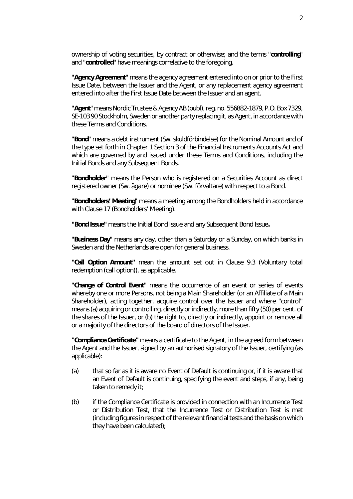ownership of voting securities, by contract or otherwise; and the terms "**controlling**" and "**controlled**" have meanings correlative to the foregoing.

"**Agency Agreement**" means the agency agreement entered into on or prior to the First Issue Date, between the Issuer and the Agent, or any replacement agency agreement entered into after the First Issue Date between the Issuer and an agent.

"**Agent**" means Nordic Trustee & Agency AB (publ), reg. no. 556882-1879, P.O. Box 7329, SE-103 90 Stockholm, Sweden or another party replacing it, as Agent, in accordance with these Terms and Conditions.

"**Bond**" means a debt instrument (Sw. *skuldförbindelse*) for the Nominal Amount and of the type set forth in Chapter 1 Section 3 of the Financial Instruments Accounts Act and which are governed by and issued under these Terms and Conditions, including the Initial Bonds and any Subsequent Bonds.

"**Bondholder**" means the Person who is registered on a Securities Account as direct registered owner (Sw. *ägare*) or nominee (Sw. *förvaltare*) with respect to a Bond.

"**Bondholders' Meeting**" means a meeting among the Bondholders held in accordance with Claus[e 17](#page-47-0) (*[Bondholders' Meeting](#page-47-0)*).

**"Bond Issue"** means the Initial Bond Issue and any Subsequent Bond Issue**.**

"**Business Day**" means any day, other than a Saturday or a Sunday, on which banks in Sweden and the Netherlands are open for general business.

**"Call Option Amount"** mean the amount set out in Clause [9.3](#page-30-0) (*[Voluntary total](#page-30-0)  [redemption \(call option\)](#page-30-0)*), as applicable.

"**Change of Control Event**" means the occurrence of an event or series of events whereby one or more Persons, not being a Main Shareholder (or an Affiliate of a Main Shareholder), acting together, acquire control over the Issuer and where "control" means (a) acquiring or controlling, directly or indirectly, more than fifty (50) per cent. of the shares of the Issuer, or (b) the right to, directly or indirectly, appoint or remove all or a majority of the directors of the board of directors of the Issuer.

**"Compliance Certificate"** means a certificate to the Agent, in the agreed form between the Agent and the Issuer, signed by an authorised signatory of the Issuer, certifying (as applicable):

- (a) that so far as it is aware no Event of Default is continuing or, if it is aware that an Event of Default is continuing, specifying the event and steps, if any, being taken to remedy it;
- (b) if the Compliance Certificate is provided in connection with an Incurrence Test or Distribution Test, that the Incurrence Test or Distribution Test is met (including figures in respect of the relevant financial tests and the basis on which they have been calculated);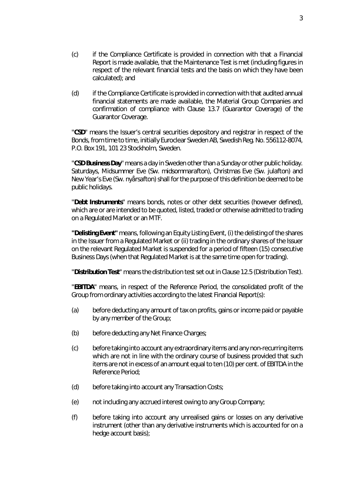- (c) if the Compliance Certificate is provided in connection with that a Financial Report is made available, that the Maintenance Test is met (including figures in respect of the relevant financial tests and the basis on which they have been calculated); and
- (d) if the Compliance Certificate is provided in connection with that audited annual financial statements are made available, the Material Group Companies and confirmation of compliance with Clause [13.7](#page-38-0) (*[Guarantor Coverage](#page-38-0)*) of the Guarantor Coverage.

"**CSD**" means the Issuer's central securities depository and registrar in respect of the Bonds, from time to time, initially Euroclear Sweden AB, Swedish Reg. No. 556112-8074, P.O. Box 191, 101 23 Stockholm, Sweden.

"**CSD Business Day**" means a day in Sweden other than a Sunday or other public holiday. Saturdays, Midsummer Eve (Sw. *midsommarafton*), Christmas Eve (Sw. *julafton*) and New Year's Eve (Sw. *nyårsafton*) shall for the purpose of this definition be deemed to be public holidays.

"**Debt Instruments**" means bonds, notes or other debt securities (however defined), which are or are intended to be quoted, listed, traded or otherwise admitted to trading on a Regulated Market or an MTF.

**"Delisting Event"** means, following an Equity Listing Event, (i) the delisting of the shares in the Issuer from a Regulated Market or (ii) trading in the ordinary shares of the Issuer on the relevant Regulated Market is suspended for a period of fifteen (15) consecutive Business Days (when that Regulated Market is at the same time open for trading).

"**Distribution Test**" means the distribution test set out in Clause [12.5 \(](#page-35-0)*[Distribution Test](#page-35-0)*).

"**EBITDA**" means, in respect of the Reference Period, the consolidated profit of the Group from ordinary activities according to the latest Financial Report(s):

- (a) before deducting any amount of tax on profits, gains or income paid or payable by any member of the Group;
- (b) before deducting any Net Finance Charges;
- (c) before taking into account any extraordinary items and any non-recurring items which are not in line with the ordinary course of business provided that such items are not in excess of an amount equal to ten (10) per cent. of EBITDA in the Reference Period;
- (d) before taking into account any Transaction Costs;
- (e) not including any accrued interest owing to any Group Company;
- (f) before taking into account any unrealised gains or losses on any derivative instrument (other than any derivative instruments which is accounted for on a hedge account basis);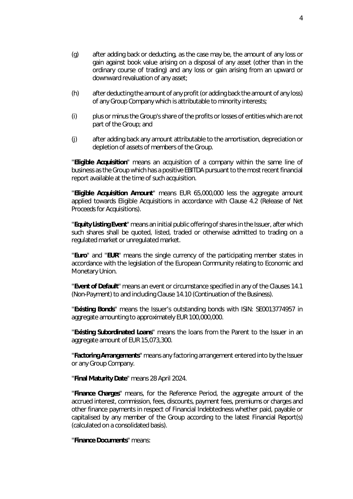- (h) after deducting the amount of any profit (or adding back the amount of any loss) of any Group Company which is attributable to minority interests;
- (i) plus or minus the Group's share of the profits or losses of entities which are not part of the Group; and
- (j) after adding back any amount attributable to the amortisation, depreciation or depletion of assets of members of the Group.

"**Eligible Acquisition**" means an acquisition of a company within the same line of business as the Group which has a positive EBITDA pursuant to the most recent financial report available at the time of such acquisition.

"**Eligible Acquisition Amount**" means EUR 65,000,000 less the aggregate amount applied towards Eligible Acquisitions in accordance with Clause [4.2](#page-26-0) (*[Release of Net](#page-26-0)  [Proceeds for Acquisitions](#page-26-0)*).

"**Equity Listing Event**" means an initial public offering of shares in the Issuer, after which such shares shall be quoted, listed, traded or otherwise admitted to trading on a regulated market or unregulated market.

"**Euro**" and "**EUR**" means the single currency of the participating member states in accordance with the legislation of the European Community relating to Economic and Monetary Union.

"**Event of Default**" means an event or circumstance specified in any of the Clauses [14.1](#page-40-1)  (*[Non-Payment](#page-40-1)*) to and including Clause [14.10](#page-41-0) (*[Continuation of the Business](#page-41-0)*).

"**Existing Bonds**" means the Issuer's outstanding bonds with ISIN: SE0013774957 in aggregate amounting to approximately EUR 100,000,000.

"**Existing Subordinated Loans**" means the loans from the Parent to the Issuer in an aggregate amount of EUR 15,073,300.

"**Factoring Arrangements**" means any factoring arrangement entered into by the Issuer or any Group Company.

"**Final Maturity Date**" means 28 April 2024.

"**Finance Charges**" means, for the Reference Period, the aggregate amount of the accrued interest, commission, fees, discounts, payment fees, premiums or charges and other finance payments in respect of Financial Indebtedness whether paid, payable or capitalised by any member of the Group according to the latest Financial Report(s) (calculated on a consolidated basis).

"**Finance Documents**" means: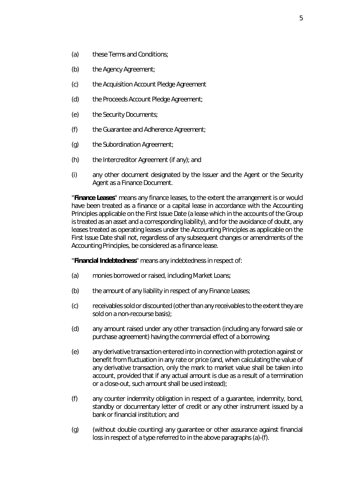- (a) these Terms and Conditions;
- (b) the Agency Agreement;
- (c) the Acquisition Account Pledge Agreement
- (d) the Proceeds Account Pledge Agreement;
- (e) the Security Documents;
- (f) the Guarantee and Adherence Agreement;
- (g) the Subordination Agreement;
- (h) the Intercreditor Agreement (if any); and
- (i) any other document designated by the Issuer and the Agent or the Security Agent as a Finance Document.

"**Finance Leases**" means any finance leases, to the extent the arrangement is or would have been treated as a finance or a capital lease in accordance with the Accounting Principles applicable on the First Issue Date (a lease which in the accounts of the Group is treated as an asset and a corresponding liability), and for the avoidance of doubt, any leases treated as operating leases under the Accounting Principles as applicable on the First Issue Date shall not, regardless of any subsequent changes or amendments of the Accounting Principles, be considered as a finance lease.

"**Financial Indebtedness**" means any indebtedness in respect of:

- <span id="page-13-0"></span>(a) monies borrowed or raised, including Market Loans;
- (b) the amount of any liability in respect of any Finance Leases;
- (c) receivables sold or discounted (other than any receivables to the extent they are sold on a non-recourse basis);
- (d) any amount raised under any other transaction (including any forward sale or purchase agreement) having the commercial effect of a borrowing;
- (e) any derivative transaction entered into in connection with protection against or benefit from fluctuation in any rate or price (and, when calculating the value of any derivative transaction, only the mark to market value shall be taken into account, provided that if any actual amount is due as a result of a termination or a close-out, such amount shall be used instead);
- <span id="page-13-1"></span>(f) any counter indemnity obligation in respect of a guarantee, indemnity, bond, standby or documentary letter of credit or any other instrument issued by a bank or financial institution; and
- (g) (without double counting) any guarantee or other assurance against financial loss in respect of a type referred to in the above paragraphs [\(a\)](#page-13-0)[-\(f\).](#page-13-1)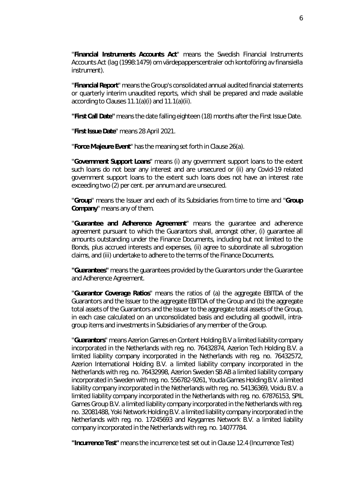"**Financial Instruments Accounts Act**" means the Swedish Financial Instruments Accounts Act (*lag (1998:1479) om värdepapperscentraler och kontoföring av finansiella instrument*).

"**Financial Report**" means the Group's consolidated annual audited financial statements or quarterly interim unaudited reports, which shall be prepared and made available according to Clause[s 11.1\(a\)\(i\)](#page-32-1) and [11.1\(a\)\(ii\).](#page-32-2)

**"First Call Date"** means the date falling eighteen (18) months after the First Issue Date.

"**First Issue Date**" means 28 April 2021.

"**Force Majeure Event**" has the meaning set forth in Clause [26\(a\).](#page-57-2)

"**Government Support Loans**" means (i) any government support loans to the extent such loans do not bear any interest and are unsecured or (ii) any Covid-19 related government support loans to the extent such loans does not have an interest rate exceeding two (2) per cent. *per annum* and are unsecured.

"**Group**" means the Issuer and each of its Subsidiaries from time to time and "**Group Company**" means any of them.

"**Guarantee and Adherence Agreement**" means the guarantee and adherence agreement pursuant to which the Guarantors shall, amongst other, (i) guarantee all amounts outstanding under the Finance Documents, including but not limited to the Bonds, plus accrued interests and expenses, (ii) agree to subordinate all subrogation claims, and (iii) undertake to adhere to the terms of the Finance Documents.

**"Guarantees"** means the guarantees provided by the Guarantors under the Guarantee and Adherence Agreement.

"**Guarantor Coverage Ratios**" means the ratios of (a) the aggregate EBITDA of the Guarantors and the Issuer to the aggregate EBITDA of the Group and (b) the aggregate total assets of the Guarantors and the Issuer to the aggregate total assets of the Group, in each case calculated on an unconsolidated basis and excluding all goodwill, intragroup items and investments in Subsidiaries of any member of the Group.

"**Guarantors**" means Azerion Games en Content Holding B.V a limited liability company incorporated in the Netherlands with reg. no. 76432874, Azerion Tech Holding B.V. a limited liability company incorporated in the Netherlands with reg. no. 76432572, Azerion International Holding B.V. a limited liability company incorporated in the Netherlands with reg. no. 76432998, Azerion Sweden SB AB a limited liability company incorporated in Sweden with reg. no. 556782-9261, Youda Games Holding B.V. a limited liability company incorporated in the Netherlands with reg. no. 54136369, Voidu B.V. a limited liability company incorporated in the Netherlands with reg. no. 67876153, SPIL Games Group B.V. a limited liability company incorporated in the Netherlands with reg. no. 32081488, Yoki Network Holding B.V. a limited liability company incorporated in the Netherlands with reg. no. 17245693 and Keygames Network B.V. a limited liability company incorporated in the Netherlands with reg. no. 14077784.

**"Incurrence Test"** means the incurrence test set out in Claus[e 12.4](#page-35-1) (*[Incurrence Test](#page-35-1)*)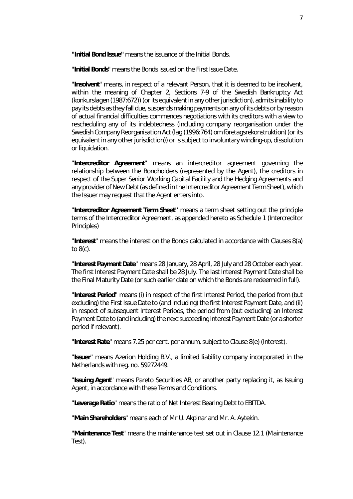**"Initial Bond Issue"** means the issuance of the Initial Bonds.

"**Initial Bonds**" means the Bonds issued on the First Issue Date.

"**Insolvent**" means, in respect of a relevant Person, that it is deemed to be insolvent, within the meaning of Chapter 2, Sections 7-9 of the Swedish Bankruptcy Act (*konkurslagen (1987:672)*) (or its equivalent in any other jurisdiction), admits inability to pay its debts as they fall due, suspends making payments on any of its debts or by reason of actual financial difficulties commences negotiations with its creditors with a view to rescheduling any of its indebtedness (including company reorganisation under the Swedish Company Reorganisation Act (*lag (1996:764) om företagsrekonstruktion*) (or its equivalent in any other jurisdiction)) or is subject to involuntary winding-up, dissolution or liquidation.

"**Intercreditor Agreement**" means an intercreditor agreement governing the relationship between the Bondholders (represented by the Agent), the creditors in respect of the Super Senior Working Capital Facility and the Hedging Agreements and any provider of New Debt (as defined in the Intercreditor Agreement Term Sheet), which the Issuer may request that the Agent enters into.

"**Intercreditor Agreement Term Sheet"** means a term sheet setting out the principle terms of the Intercreditor Agreement, as appended hereto as Schedule 1 (*Intercreditor Principles*)

"**Interest**" means the interest on the Bonds calculated in accordance with Clauses [8\(a\)](#page-29-2)  t[o 8\(c\).](#page-29-3)

"**Interest Payment Date**" means 28 January, 28 April, 28 July and 28 October each year. The first Interest Payment Date shall be 28 July. The last Interest Payment Date shall be the Final Maturity Date (or such earlier date on which the Bonds are redeemed in full).

"**Interest Period**" means (i) in respect of the first Interest Period, the period from (but excluding) the First Issue Date to (and including) the first Interest Payment Date, and (ii) in respect of subsequent Interest Periods, the period from (but excluding) an Interest Payment Date to (and including) the next succeeding Interest Payment Date (or a shorter period if relevant).

"**Interest Rate**" means 7.25 per cent. *per annum*, subject to Clause [8\(e\)](#page-29-4) (*[Interest](#page-29-0)*).

"**Issuer**" means Azerion Holding B.V., a limited liability company incorporated in the Netherlands with reg. no. 59272449.

"**Issuing Agent**" means Pareto Securities AB, or another party replacing it, as Issuing Agent, in accordance with these Terms and Conditions.

"**Leverage Ratio**" means the ratio of Net Interest Bearing Debt to EBITDA.

"**Main Shareholders**" means each of Mr U. Akpinar and Mr. A. Aytekin.

"**Maintenance Test**" means the maintenance test set out in Clause [12.1](#page-34-1) (*[Maintenance](#page-34-1)  [Test\)](#page-34-1)*.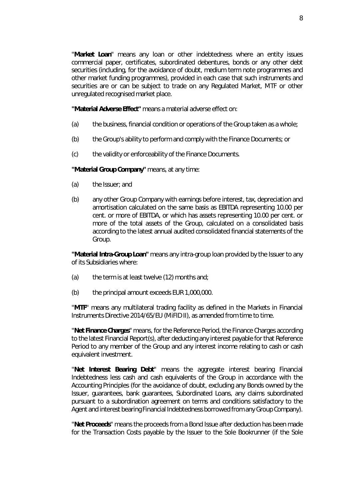"**Market Loan**" means any loan or other indebtedness where an entity issues commercial paper, certificates, subordinated debentures, bonds or any other debt securities (including, for the avoidance of doubt, medium term note programmes and other market funding programmes), provided in each case that such instruments and securities are or can be subject to trade on any Regulated Market, MTF or other unregulated recognised market place.

**"Material Adverse Effect"** means a material adverse effect on:

- (a) the business, financial condition or operations of the Group taken as a whole;
- (b) the Group's ability to perform and comply with the Finance Documents; or
- (c) the validity or enforceability of the Finance Documents.

**"Material Group Company"** means, at any time:

- (a) the Issuer; and
- (b) any other Group Company with earnings before interest, tax, depreciation and amortisation calculated on the same basis as EBITDA representing 10.00 per cent. or more of EBITDA, or which has assets representing 10.00 per cent. or more of the total assets of the Group, calculated on a consolidated basis according to the latest annual audited consolidated financial statements of the Group.

**"Material Intra-Group Loan"** means any intra-group loan provided by the Issuer to any of its Subsidiaries where:

- (a) the term is at least twelve (12) months and;
- (b) the principal amount exceeds EUR 1,000,000.

"**MTF**" means any multilateral trading facility as defined in the Markets in Financial Instruments Directive 2014/65/EU (MiFID II), as amended from time to time.

"**Net Finance Charges**" means, for the Reference Period, the Finance Charges according to the latest Financial Report(s), after deducting any interest payable for that Reference Period to any member of the Group and any interest income relating to cash or cash equivalent investment.

"**Net Interest Bearing Debt**" means the aggregate interest bearing Financial Indebtedness less cash and cash equivalents of the Group in accordance with the Accounting Principles (for the avoidance of doubt, excluding any Bonds owned by the Issuer, guarantees, bank guarantees, Subordinated Loans, any claims subordinated pursuant to a subordination agreement on terms and conditions satisfactory to the Agent and interest bearing Financial Indebtedness borrowed from any Group Company).

"**Net Proceeds**" means the proceeds from a Bond Issue after deduction has been made for the Transaction Costs payable by the Issuer to the Sole Bookrunner (if the Sole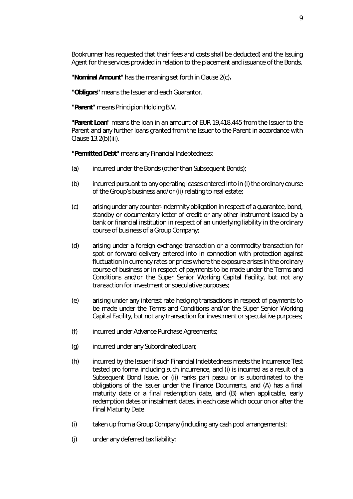Bookrunner has requested that their fees and costs shall be deducted) and the Issuing Agent for the services provided in relation to the placement and issuance of the Bonds.

"**Nominal Amount**" has the meaning set forth in Clause [2\(c\)](#page-23-1)**.**

**"Obligors"** means the Issuer and each Guarantor.

**"Parent"** means Principion Holding B.V.

"**Parent Loan**" means the loan in an amount of EUR 19,418,445 from the Issuer to the Parent and any further loans granted from the Issuer to the Parent in accordance with Clause [13.2\(b\)\(iii\).](#page-37-0)

**"Permitted Debt"** means any Financial Indebtedness:

- (a) incurred under the Bonds (other than Subsequent Bonds);
- (b) incurred pursuant to any operating leases entered into in (i) the ordinary course of the Group's business and/or (ii) relating to real estate;
- (c) arising under any counter-indemnity obligation in respect of a guarantee, bond, standby or documentary letter of credit or any other instrument issued by a bank or financial institution in respect of an underlying liability in the ordinary course of business of a Group Company;
- (d) arising under a foreign exchange transaction or a commodity transaction for spot or forward delivery entered into in connection with protection against fluctuation in currency rates or prices where the exposure arises in the ordinary course of business or in respect of payments to be made under the Terms and Conditions and/or the Super Senior Working Capital Facility, but not any transaction for investment or speculative purposes;
- (e) arising under any interest rate hedging transactions in respect of payments to be made under the Terms and Conditions and/or the Super Senior Working Capital Facility, but not any transaction for investment or speculative purposes;
- (f) incurred under Advance Purchase Agreements;
- (g) incurred under any Subordinated Loan;
- (h) incurred by the Issuer if such Financial Indebtedness meets the Incurrence Test tested *pro forma* including such incurrence, and (i) is incurred as a result of a Subsequent Bond Issue, or (ii) ranks *pari passu* or is subordinated to the obligations of the Issuer under the Finance Documents, and (A) has a final maturity date or a final redemption date, and (B) when applicable, early redemption dates or instalment dates, in each case which occur on or after the Final Maturity Date
- (i) taken up from a Group Company (including any cash pool arrangements);
- (j) under any deferred tax liability;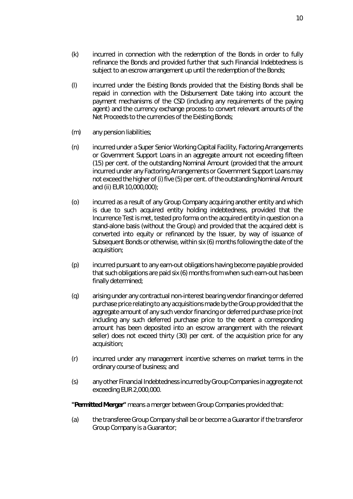10

- (k) incurred in connection with the redemption of the Bonds in order to fully refinance the Bonds and provided further that such Financial Indebtedness is subject to an escrow arrangement up until the redemption of the Bonds;
- (l) incurred under the Existing Bonds provided that the Existing Bonds shall be repaid in connection with the Disbursement Date taking into account the payment mechanisms of the CSD (including any requirements of the paying agent) and the currency exchange process to convert relevant amounts of the Net Proceeds to the currencies of the Existing Bonds;
- (m) any pension liabilities;
- (n) incurred under a Super Senior Working Capital Facility, Factoring Arrangements or Government Support Loans in an aggregate amount not exceeding fifteen (15) per cent. of the outstanding Nominal Amount (provided that the amount incurred under any Factoring Arrangements or Government Support Loans may not exceed the higher of (i) five (5) per cent. of the outstanding Nominal Amount and (ii) EUR 10,000,000);
- (o) incurred as a result of any Group Company acquiring another entity and which is due to such acquired entity holding indebtedness, provided that the Incurrence Test is met, tested *pro forma* on the acquired entity in question on a stand-alone basis (without the Group) and provided that the acquired debt is converted into equity or refinanced by the Issuer, by way of issuance of Subsequent Bonds or otherwise, within six (6) months following the date of the acquisition;
- (p) incurred pursuant to any earn-out obligations having become payable provided that such obligations are paid six (6) months from when such earn-out has been finally determined;
- (q) arising under any contractual non-interest bearing vendor financing or deferred purchase price relating to any acquisitions made by the Group provided that the aggregate amount of any such vendor financing or deferred purchase price (not including any such deferred purchase price to the extent a corresponding amount has been deposited into an escrow arrangement with the relevant seller) does not exceed thirty (30) per cent. of the acquisition price for any acquisition;
- (r) incurred under any management incentive schemes on market terms in the ordinary course of business; and
- (s) any other Financial Indebtedness incurred by Group Companies in aggregate not exceeding EUR 2,000,000.

**"Permitted Merger"** means a merger between Group Companies provided that:

(a) the transferee Group Company shall be or become a Guarantor if the transferor Group Company is a Guarantor;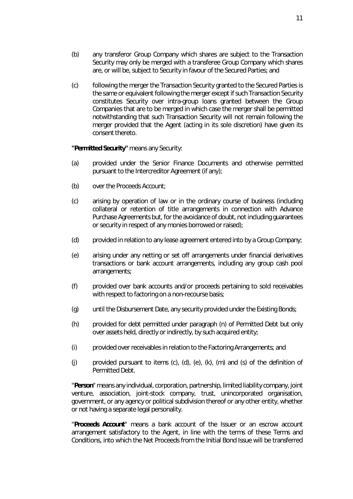- (b) any transferor Group Company which shares are subject to the Transaction Security may only be merged with a transferee Group Company which shares are, or will be, subject to Security in favour of the Secured Parties; and
- (c) following the merger the Transaction Security granted to the Secured Parties is the same or equivalent following the merger except if such Transaction Security constitutes Security over intra-group loans granted between the Group Companies that are to be merged in which case the merger shall be permitted notwithstanding that such Transaction Security will not remain following the merger provided that the Agent (acting in its sole discretion) have given its consent thereto.

#### **"Permitted Security"** means any Security:

- (a) provided under the Senior Finance Documents and otherwise permitted pursuant to the Intercreditor Agreement (if any);
- (b) over the Proceeds Account;
- (c) arising by operation of law or in the ordinary course of business (including collateral or retention of title arrangements in connection with Advance Purchase Agreements but, for the avoidance of doubt, not including guarantees or security in respect of any monies borrowed or raised);
- (d) provided in relation to any lease agreement entered into by a Group Company;
- (e) arising under any netting or set off arrangements under financial derivatives transactions or bank account arrangements, including any group cash pool arrangements;
- (f) provided over bank accounts and/or proceeds pertaining to sold receivables with respect to factoring on a non-recourse basis;
- (g) until the Disbursement Date, any security provided under the Existing Bonds;
- (h) provided for debt permitted under paragraph (n) of Permitted Debt but only over assets held, directly or indirectly, by such acquired entity;
- (i) provided over receivables in relation to the Factoring Arrangements; and
- (i) provided pursuant to items  $(c)$ ,  $(d)$ ,  $(e)$ ,  $(k)$ ,  $(m)$  and  $(s)$  of the definition of Permitted Debt.

"**Person**" means any individual, corporation, partnership, limited liability company, joint venture, association, joint-stock company, trust, unincorporated organisation, government, or any agency or political subdivision thereof or any other entity, whether or not having a separate legal personality.

"**Proceeds Account**" means a bank account of the Issuer or an escrow account arrangement satisfactory to the Agent, in line with the terms of these Terms and Conditions, into which the Net Proceeds from the Initial Bond Issue will be transferred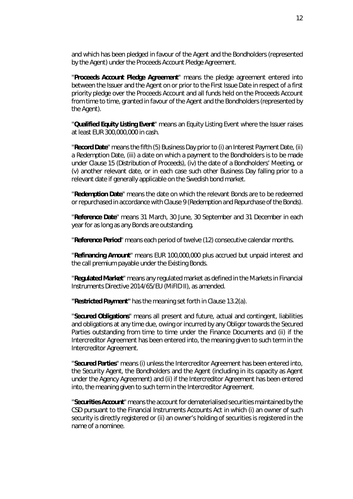and which has been pledged in favour of the Agent and the Bondholders (represented by the Agent) under the Proceeds Account Pledge Agreement.

"**Proceeds Account Pledge Agreement**" means the pledge agreement entered into between the Issuer and the Agent on or prior to the First Issue Date in respect of a first priority pledge over the Proceeds Account and all funds held on the Proceeds Account from time to time, granted in favour of the Agent and the Bondholders (represented by the Agent).

"**Qualified Equity Listing Event**" means an Equity Listing Event where the Issuer raises at least EUR 300,000,000 in cash.

"**Record Date**" means the fifth (5) Business Day prior to (i) an Interest Payment Date, (ii) a Redemption Date, (iii) a date on which a payment to the Bondholders is to be made under Clause [15](#page-43-0) (*[Distribution of Proceeds](#page-43-0)*), (iv) the date of a Bondholders' Meeting, or (v) another relevant date, or in each case such other Business Day falling prior to a relevant date if generally applicable on the Swedish bond market.

"**Redemption Date**" means the date on which the relevant Bonds are to be redeemed or repurchased in accordance with Clause [9](#page-29-1) (*[Redemption and Repurchase of the Bonds](#page-29-1)*).

"**Reference Date**" means 31 March, 30 June, 30 September and 31 December in each year for as long as any Bonds are outstanding.

"**Reference Period**" means each period of twelve (12) consecutive calendar months.

"**Refinancing Amount**" means EUR 100,000,000 plus accrued but unpaid interest and the call premium payable under the Existing Bonds.

"**Regulated Market**" means any regulated market as defined in the Markets in Financial Instruments Directive 2014/65/EU (MiFID II), as amended.

**"Restricted Payment"** has the meaning set forth in Clause [13.2\(a\).](#page-36-1)

"**Secured Obligations**" means all present and future, actual and contingent, liabilities and obligations at any time due, owing or incurred by any Obligor towards the Secured Parties outstanding from time to time under the Finance Documents and (ii) if the Intercreditor Agreement has been entered into, the meaning given to such term in the Intercreditor Agreement.

"**Secured Parties**" means (i) unless the Intercreditor Agreement has been entered into, the Security Agent, the Bondholders and the Agent (including in its capacity as Agent under the Agency Agreement) and (ii) if the Intercreditor Agreement has been entered into, the meaning given to such term in the Intercreditor Agreement.

"**Securities Account**" means the account for dematerialised securities maintained by the CSD pursuant to the Financial Instruments Accounts Act in which (i) an owner of such security is directly registered or (ii) an owner's holding of securities is registered in the name of a nominee.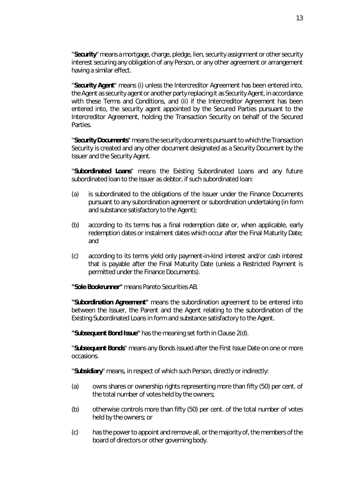"**Security**" means a mortgage, charge, pledge, lien, security assignment or other security interest securing any obligation of any Person, or any other agreement or arrangement having a similar effect.

"**Security Agent**" means (i) unless the Intercreditor Agreement has been entered into, the Agent as security agent or another party replacing it as Security Agent, in accordance with these Terms and Conditions, and (ii) if the Intercreditor Agreement has been entered into, the security agent appointed by the Secured Parties pursuant to the Intercreditor Agreement, holding the Transaction Security on behalf of the Secured Parties.

"**Security Documents**" means the security documents pursuant to which the Transaction Security is created and any other document designated as a Security Document by the Issuer and the Security Agent.

"**Subordinated Loans**" means the Existing Subordinated Loans and any future subordinated loan to the Issuer as debtor, if such subordinated loan:

- (a) is subordinated to the obligations of the Issuer under the Finance Documents pursuant to any subordination agreement or subordination undertaking (in form and substance satisfactory to the Agent);
- (b) according to its terms has a final redemption date or, when applicable, early redemption dates or instalment dates which occur after the Final Maturity Date; and
- (c) according to its terms yield only payment-in-kind interest and/or cash interest that is payable after the Final Maturity Date (unless a Restricted Payment is permitted under the Finance Documents).

**"Sole Bookrunner"** means Pareto Securities AB.

**"Subordination Agreement"** means the subordination agreement to be entered into between the Issuer, the Parent and the Agent relating to the subordination of the Existing Subordinated Loans in form and substance satisfactory to the Agent.

**"Subsequent Bond Issue"** has the meaning set forth in Claus[e 2\(d\).](#page-23-2)

"**Subsequent Bonds**" means any Bonds issued after the First Issue Date on one or more occasions.

"**Subsidiary**" means, in respect of which such Person, directly or indirectly:

- (a) owns shares or ownership rights representing more than fifty (50) per cent. of the total number of votes held by the owners;
- (b) otherwise controls more than fifty (50) per cent. of the total number of votes held by the owners; or
- (c) has the power to appoint and remove all, or the majority of, the members of the board of directors or other governing body.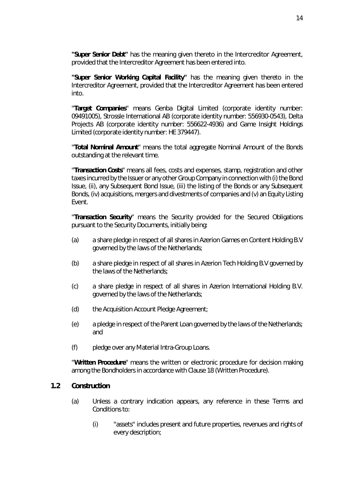**"Super Senior Debt"** has the meaning given thereto in the Intercreditor Agreement, provided that the Intercreditor Agreement has been entered into.

**"Super Senior Working Capital Facility"** has the meaning given thereto in the Intercreditor Agreement, provided that the Intercreditor Agreement has been entered into.

"**Target Companies**" means Genba Digital Limited (corporate identity number: 09491005), Strossle International AB (corporate identity number: 556930-0543), Delta Projects AB (corporate identity number: 556622-4936) and Game Insight Holdings Limited (corporate identity number: HE 379447).

"**Total Nominal Amount**" means the total aggregate Nominal Amount of the Bonds outstanding at the relevant time.

"**Transaction Costs**" means all fees, costs and expenses, stamp, registration and other taxes incurred by the Issuer or any other Group Company in connection with (i) the Bond Issue, (ii), any Subsequent Bond Issue, (iii) the listing of the Bonds or any Subsequent Bonds, (iv) acquisitions, mergers and divestments of companies and (v) an Equity Listing Event.

"**Transaction Security**" means the Security provided for the Secured Obligations pursuant to the Security Documents, initially being:

- (a) a share pledge in respect of all shares in Azerion Games en Content Holding B.V governed by the laws of the Netherlands;
- (b) a share pledge in respect of all shares in Azerion Tech Holding B.V governed by the laws of the Netherlands;
- (c) a share pledge in respect of all shares in Azerion International Holding B.V. governed by the laws of the Netherlands;
- (d) the Acquisition Account Pledge Agreement;
- (e) a pledge in respect of the Parent Loan governed by the laws of the Netherlands; and
- (f) pledge over any Material Intra-Group Loans.

"**Written Procedure**" means the written or electronic procedure for decision making among the Bondholders in accordance with Clause [18](#page-48-0) (*[Written Procedure](#page-48-0)*).

#### **1.2 Construction**

- (a) Unless a contrary indication appears, any reference in these Terms and Conditions to:
	- (i) "assets" includes present and future properties, revenues and rights of every description;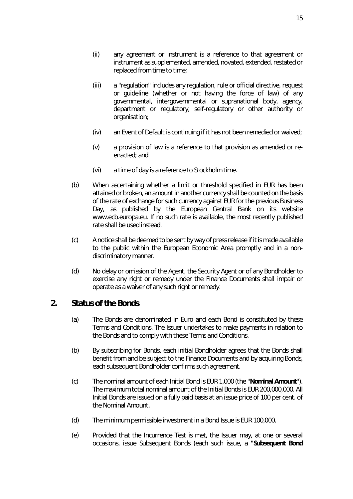- (ii) any agreement or instrument is a reference to that agreement or instrument as supplemented, amended, novated, extended, restated or replaced from time to time;
- (iii) a "regulation" includes any regulation, rule or official directive, request or guideline (whether or not having the force of law) of any governmental, intergovernmental or supranational body, agency, department or regulatory, self-regulatory or other authority or organisation;
- (iv) an Event of Default is continuing if it has not been remedied or waived;
- (v) a provision of law is a reference to that provision as amended or reenacted; and
- (vi) a time of day is a reference to Stockholm time.
- (b) When ascertaining whether a limit or threshold specified in EUR has been attained or broken, an amount in another currency shall be counted on the basis of the rate of exchange for such currency against EUR for the previous Business Day, as published by the European Central Bank on its website www.ecb.europa.eu. If no such rate is available, the most recently published rate shall be used instead.
- (c) A notice shall be deemed to be sent by way of press release if it is made available to the public within the European Economic Area promptly and in a nondiscriminatory manner.
- (d) No delay or omission of the Agent, the Security Agent or of any Bondholder to exercise any right or remedy under the Finance Documents shall impair or operate as a waiver of any such right or remedy.

### <span id="page-23-0"></span>**2. Status of the Bonds**

- (a) The Bonds are denominated in Euro and each Bond is constituted by these Terms and Conditions. The Issuer undertakes to make payments in relation to the Bonds and to comply with these Terms and Conditions.
- (b) By subscribing for Bonds, each initial Bondholder agrees that the Bonds shall benefit from and be subject to the Finance Documents and by acquiring Bonds, each subsequent Bondholder confirms such agreement.
- <span id="page-23-1"></span>(c) The nominal amount of each Initial Bond is EUR 1,000 (the "**Nominal Amount**"). The maximum total nominal amount of the Initial Bonds is EUR 200,000,000. All Initial Bonds are issued on a fully paid basis at an issue price of 100 per cent. of the Nominal Amount.
- <span id="page-23-2"></span>(d) The minimum permissible investment in a Bond Issue is EUR 100,000.
- (e) Provided that the Incurrence Test is met, the Issuer may, at one or several occasions, issue Subsequent Bonds (each such issue, a "**Subsequent Bond**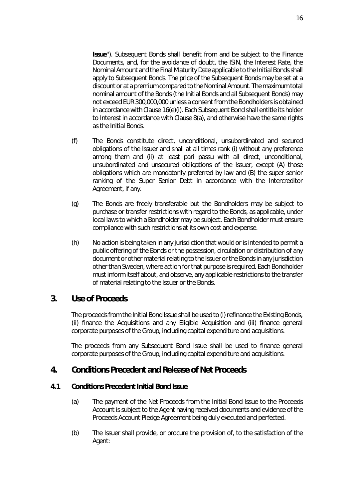**Issue**"). Subsequent Bonds shall benefit from and be subject to the Finance Documents, and, for the avoidance of doubt, the ISIN, the Interest Rate, the Nominal Amount and the Final Maturity Date applicable to the Initial Bonds shall apply to Subsequent Bonds. The price of the Subsequent Bonds may be set at a discount or at a premium compared to the Nominal Amount. The maximum total nominal amount of the Bonds (the Initial Bonds and all Subsequent Bonds) may not exceed EUR 300,000,000 unless a consent from the Bondholders is obtained in accordance with Claus[e 16\(e\)\(i\).](#page-45-0) Each Subsequent Bond shall entitle its holder to Interest in accordance with Clause [8\(a\),](#page-29-2) and otherwise have the same rights as the Initial Bonds.

- (f) The Bonds constitute direct, unconditional, unsubordinated and secured obligations of the Issuer and shall at all times rank (i) without any preference among them and (ii) at least *pari passu* with all direct, unconditional, unsubordinated and unsecured obligations of the Issuer, except (A) those obligations which are mandatorily preferred by law and (B) the super senior ranking of the Super Senior Debt in accordance with the Intercreditor Agreement, if any.
- (g) The Bonds are freely transferable but the Bondholders may be subject to purchase or transfer restrictions with regard to the Bonds, as applicable, under local laws to which a Bondholder may be subject. Each Bondholder must ensure compliance with such restrictions at its own cost and expense.
- (h) No action is being taken in any jurisdiction that would or is intended to permit a public offering of the Bonds or the possession, circulation or distribution of any document or other material relating to the Issuer or the Bonds in any jurisdiction other than Sweden, where action for that purpose is required. Each Bondholder must inform itself about, and observe, any applicable restrictions to the transfer of material relating to the Issuer or the Bonds.

### <span id="page-24-0"></span>**3. Use of Proceeds**

The proceeds from the Initial Bond Issue shall be used to (i) refinance the Existing Bonds, (ii) finance the Acquisitions and any Eligible Acquisition and (iii) finance general corporate purposes of the Group, including capital expenditure and acquisitions.

The proceeds from any Subsequent Bond Issue shall be used to finance general corporate purposes of the Group, including capital expenditure and acquisitions.

### <span id="page-24-1"></span>**4. Conditions Precedent and Release of Net Proceeds**

#### **4.1 Conditions Precedent Initial Bond Issue**

- (a) The payment of the Net Proceeds from the Initial Bond Issue to the Proceeds Account is subject to the Agent having received documents and evidence of the Proceeds Account Pledge Agreement being duly executed and perfected.
- <span id="page-24-2"></span>(b) The Issuer shall provide, or procure the provision of, to the satisfaction of the Agent: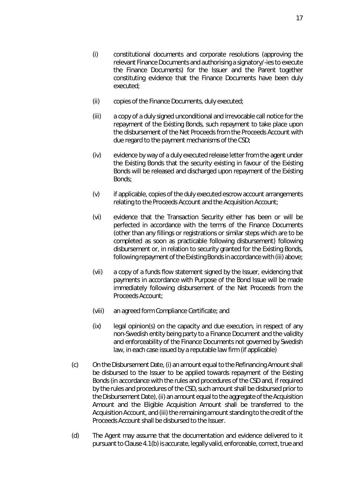- (i) constitutional documents and corporate resolutions (approving the relevant Finance Documents and authorising a signatory/-ies to execute the Finance Documents) for the Issuer and the Parent together constituting evidence that the Finance Documents have been duly executed;
- (ii) copies of the Finance Documents, duly executed;
- (iii) a copy of a duly signed unconditional and irrevocable call notice for the repayment of the Existing Bonds, such repayment to take place upon the disbursement of the Net Proceeds from the Proceeds Account with due regard to the payment mechanisms of the CSD;
- (iv) evidence by way of a duly executed release letter from the agent under the Existing Bonds that the security existing in favour of the Existing Bonds will be released and discharged upon repayment of the Existing Bonds;
- (v) if applicable, copies of the duly executed escrow account arrangements relating to the Proceeds Account and the Acquisition Account;
- (vi) evidence that the Transaction Security either has been or will be perfected in accordance with the terms of the Finance Documents (other than any fillings or registrations or similar steps which are to be completed as soon as practicable following disbursement) following disbursement or, in relation to security granted for the Existing Bonds, following repayment of the Existing Bonds in accordance with (iii) above;
- (vii) a copy of a funds flow statement signed by the Issuer, evidencing that payments in accordance with Purpose of the Bond Issue will be made immediately following disbursement of the Net Proceeds from the Proceeds Account;
- (viii) an agreed form Compliance Certificate; and
- (ix) legal opinion(s) on the capacity and due execution, in respect of any non-Swedish entity being party to a Finance Document and the validity and enforceability of the Finance Documents not governed by Swedish law, in each case issued by a reputable law firm (if applicable)
- (c) On the Disbursement Date, (i) an amount equal to the Refinancing Amount shall be disbursed to the Issuer to be applied towards repayment of the Existing Bonds (in accordance with the rules and procedures of the CSD and, if required by the rules and procedures of the CSD, such amount shall be disbursed prior to the Disbursement Date), (ii) an amount equal to the aggregate of the Acquisition Amount and the Eligible Acquisition Amount shall be transferred to the Acquisition Account, and (iii) the remaining amount standing to the credit of the Proceeds Account shall be disbursed to the Issuer.
- (d) The Agent may assume that the documentation and evidence delivered to it pursuant to Clause [4.1\(b\) i](#page-24-2)s accurate, legally valid, enforceable, correct, true and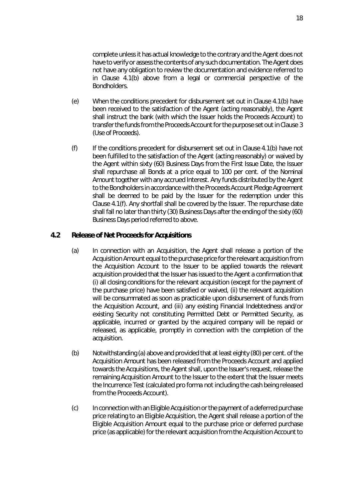complete unless it has actual knowledge to the contrary and the Agent does not have to verify or assess the contents of any such documentation. The Agent does not have any obligation to review the documentation and evidence referred to in Clause [4.1\(b\)](#page-24-2) above from a legal or commercial perspective of the Bondholders.

- (e) When the conditions precedent for disbursement set out in Clause [4.1\(b\)](#page-24-2) have been received to the satisfaction of the Agent (acting reasonably), the Agent shall instruct the bank (with which the Issuer holds the Proceeds Account) to transfer the funds from the Proceeds Account for the purpose set out in Claus[e 3](#page-24-0)  (*[Use of Proceeds](#page-24-0)*).
- <span id="page-26-1"></span>(f) If the conditions precedent for disbursement set out in Clause [4.1\(b\)](#page-24-2) have not been fulfilled to the satisfaction of the Agent (acting reasonably) or waived by the Agent within sixty (60) Business Days from the First Issue Date, the Issuer shall repurchase all Bonds at a price equal to 100 per cent. of the Nominal Amount together with any accrued Interest. Any funds distributed by the Agent to the Bondholders in accordance with the Proceeds Account Pledge Agreement shall be deemed to be paid by the Issuer for the redemption under this Claus[e 4.1\(f\).](#page-26-1) Any shortfall shall be covered by the Issuer. The repurchase date shall fall no later than thirty (30) Business Days after the ending of the sixty (60) Business Days period referred to above.

#### <span id="page-26-0"></span>**4.2 Release of Net Proceeds for Acquisitions**

- (a) In connection with an Acquisition, the Agent shall release a portion of the Acquisition Amount equal to the purchase price for the relevant acquisition from the Acquisition Account to the Issuer to be applied towards the relevant acquisition provided that the Issuer has issued to the Agent a confirmation that (i) all closing conditions for the relevant acquisition (except for the payment of the purchase price) have been satisfied or waived, (ii) the relevant acquisition will be consummated as soon as practicable upon disbursement of funds from the Acquisition Account, and (iii) any existing Financial Indebtedness and/or existing Security not constituting Permitted Debt or Permitted Security, as applicable, incurred or granted by the acquired company will be repaid or released, as applicable, promptly in connection with the completion of the acquisition.
- (b) Notwithstanding (a) above and provided that at least eighty (80) per cent. of the Acquisition Amount has been released from the Proceeds Account and applied towards the Acquisitions, the Agent shall, upon the Issuer's request, release the remaining Acquisition Amount to the Issuer to the extent that the Issuer meets the Incurrence Test (calculated *pro forma* not including the cash being released from the Proceeds Account).
- (c) In connection with an Eligible Acquisition or the payment of a deferred purchase price relating to an Eligible Acquisition, the Agent shall release a portion of the Eligible Acquisition Amount equal to the purchase price or deferred purchase price (as applicable) for the relevant acquisition from the Acquisition Account to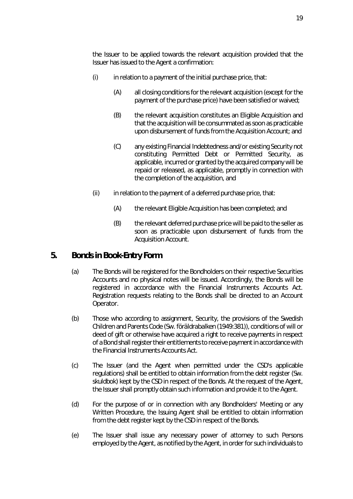the Issuer to be applied towards the relevant acquisition provided that the Issuer has issued to the Agent a confirmation:

- $(i)$  in relation to a payment of the initial purchase price, that:
	- (A) all closing conditions for the relevant acquisition (except for the payment of the purchase price) have been satisfied or waived;
	- (B) the relevant acquisition constitutes an Eligible Acquisition and that the acquisition will be consummated as soon as practicable upon disbursement of funds from the Acquisition Account; and
	- (C) any existing Financial Indebtedness and/or existing Security not constituting Permitted Debt or Permitted Security, as applicable, incurred or granted by the acquired company will be repaid or released, as applicable, promptly in connection with the completion of the acquisition, and
- $(i)$  in relation to the payment of a deferred purchase price, that:
	- (A) the relevant Eligible Acquisition has been completed; and
	- (B) the relevant deferred purchase price will be paid to the seller as soon as practicable upon disbursement of funds from the Acquisition Account.

# <span id="page-27-0"></span>**5. Bonds in Book-Entry Form**

- (a) The Bonds will be registered for the Bondholders on their respective Securities Accounts and no physical notes will be issued. Accordingly, the Bonds will be registered in accordance with the Financial Instruments Accounts Act. Registration requests relating to the Bonds shall be directed to an Account Operator.
- (b) Those who according to assignment, Security, the provisions of the Swedish Children and Parents Code (Sw. *föräldrabalken (1949:381)*), conditions of will or deed of gift or otherwise have acquired a right to receive payments in respect of a Bond shall register their entitlements to receive payment in accordance with the Financial Instruments Accounts Act.
- (c) The Issuer (and the Agent when permitted under the CSD's applicable regulations) shall be entitled to obtain information from the debt register (Sw. *skuldbok*) kept by the CSD in respect of the Bonds. At the request of the Agent, the Issuer shall promptly obtain such information and provide it to the Agent.
- (d) For the purpose of or in connection with any Bondholders' Meeting or any Written Procedure, the Issuing Agent shall be entitled to obtain information from the debt register kept by the CSD in respect of the Bonds.
- (e) The Issuer shall issue any necessary power of attorney to such Persons employed by the Agent, as notified by the Agent, in order for such individuals to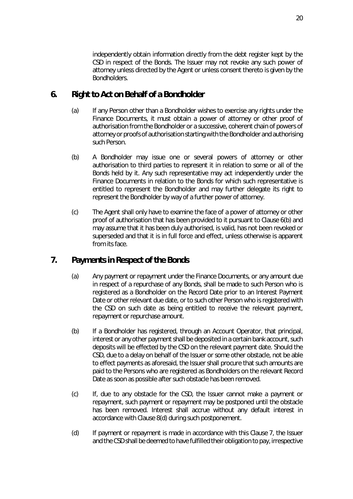independently obtain information directly from the debt register kept by the CSD in respect of the Bonds. The Issuer may not revoke any such power of attorney unless directed by the Agent or unless consent thereto is given by the **Bondholders** 

### <span id="page-28-0"></span>**6. Right to Act on Behalf of a Bondholder**

- (a) If any Person other than a Bondholder wishes to exercise any rights under the Finance Documents, it must obtain a power of attorney or other proof of authorisation from the Bondholder or a successive, coherent chain of powers of attorney or proofs of authorisation starting with the Bondholder and authorising such Person.
- <span id="page-28-2"></span>(b) A Bondholder may issue one or several powers of attorney or other authorisation to third parties to represent it in relation to some or all of the Bonds held by it. Any such representative may act independently under the Finance Documents in relation to the Bonds for which such representative is entitled to represent the Bondholder and may further delegate its right to represent the Bondholder by way of a further power of attorney.
- (c) The Agent shall only have to examine the face of a power of attorney or other proof of authorisation that has been provided to it pursuant to Claus[e 6\(b\)](#page-28-2) and may assume that it has been duly authorised, is valid, has not been revoked or superseded and that it is in full force and effect, unless otherwise is apparent from its face.

# <span id="page-28-1"></span>**7. Payments in Respect of the Bonds**

- (a) Any payment or repayment under the Finance Documents, or any amount due in respect of a repurchase of any Bonds, shall be made to such Person who is registered as a Bondholder on the Record Date prior to an Interest Payment Date or other relevant due date, or to such other Person who is registered with the CSD on such date as being entitled to receive the relevant payment, repayment or repurchase amount.
- (b) If a Bondholder has registered, through an Account Operator, that principal, interest or any other payment shall be deposited in a certain bank account, such deposits will be effected by the CSD on the relevant payment date. Should the CSD, due to a delay on behalf of the Issuer or some other obstacle, not be able to effect payments as aforesaid, the Issuer shall procure that such amounts are paid to the Persons who are registered as Bondholders on the relevant Record Date as soon as possible after such obstacle has been removed.
- (c) If, due to any obstacle for the CSD, the Issuer cannot make a payment or repayment, such payment or repayment may be postponed until the obstacle has been removed. Interest shall accrue without any default interest in accordance with Claus[e 8\(d\)](#page-29-5) during such postponement.
- (d) If payment or repayment is made in accordance with this Clause [7,](#page-28-1) the Issuer and the CSD shall be deemed to have fulfilled their obligation to pay, irrespective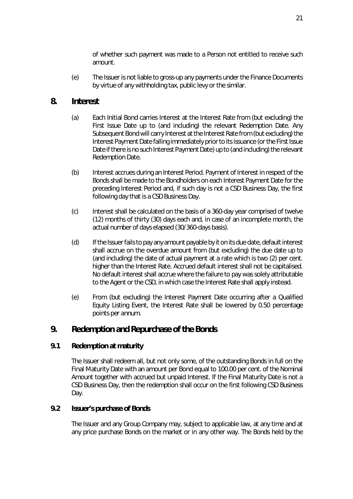of whether such payment was made to a Person not entitled to receive such amount.

(e) The Issuer is not liable to gross-up any payments under the Finance Documents by virtue of any withholding tax, public levy or the similar.

# <span id="page-29-2"></span><span id="page-29-0"></span>**8. Interest**

- (a) Each Initial Bond carries Interest at the Interest Rate from (but excluding) the First Issue Date up to (and including) the relevant Redemption Date. Any Subsequent Bond will carry Interest at the Interest Rate from (but excluding) the Interest Payment Date falling immediately prior to its issuance (or the First Issue Date if there is no such Interest Payment Date) up to (and including) the relevant Redemption Date.
- (b) Interest accrues during an Interest Period. Payment of Interest in respect of the Bonds shall be made to the Bondholders on each Interest Payment Date for the preceding Interest Period and, if such day is not a CSD Business Day, the first following day that is a CSD Business Day.
- <span id="page-29-3"></span>(c) Interest shall be calculated on the basis of a 360-day year comprised of twelve (12) months of thirty (30) days each and, in case of an incomplete month, the actual number of days elapsed (30/360-days basis).
- <span id="page-29-5"></span>(d) If the Issuer fails to pay any amount payable by it on its due date, default interest shall accrue on the overdue amount from (but excluding) the due date up to (and including) the date of actual payment at a rate which is two (2) per cent. higher than the Interest Rate. Accrued default interest shall not be capitalised. No default interest shall accrue where the failure to pay was solely attributable to the Agent or the CSD, in which case the Interest Rate shall apply instead.
- <span id="page-29-4"></span>(e) From (but excluding) the Interest Payment Date occurring after a Qualified Equity Listing Event, the Interest Rate shall be lowered by 0.50 percentage points *per annum*.

# <span id="page-29-1"></span>**9. Redemption and Repurchase of the Bonds**

### **9.1 Redemption at maturity**

The Issuer shall redeem all, but not only some, of the outstanding Bonds in full on the Final Maturity Date with an amount per Bond equal to 100.00 per cent. of the Nominal Amount together with accrued but unpaid Interest. If the Final Maturity Date is not a CSD Business Day, then the redemption shall occur on the first following CSD Business Day.

#### **9.2 Issuer's purchase of Bonds**

The Issuer and any Group Company may, subject to applicable law, at any time and at any price purchase Bonds on the market or in any other way. The Bonds held by the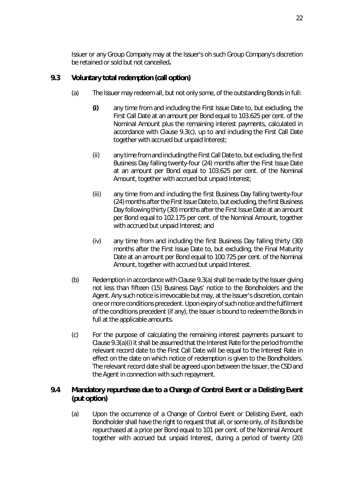Issuer or any Group Company may at the Issuer's oh such Group Company's discretion be retained or sold but not cancelled**.** 

### <span id="page-30-2"></span><span id="page-30-0"></span>**9.3 Voluntary total redemption (call option)**

- <span id="page-30-3"></span>(a) The Issuer may redeem all, but not only some, of the outstanding Bonds in full:
	- **(i)** any time from and including the First Issue Date to, but excluding, the First Call Date at an amount per Bond equal to 103.625 per cent. of the Nominal Amount plus the remaining interest payments, calculated in accordance with Clause [9.3\(c\),](#page-30-1) up to and including the First Call Date together with accrued but unpaid Interest;
	- (ii) any time from and including the First Call Date to, but excluding, the first Business Day falling twenty-four (24) months after the First Issue Date at an amount per Bond equal to 103.625 per cent. of the Nominal Amount, together with accrued but unpaid Interest;
	- (iii) any time from and including the first Business Day falling twenty-four (24) months after the First Issue Date to, but excluding, the first Business Day following thirty (30) months after the First Issue Date at an amount per Bond equal to 102.175 per cent. of the Nominal Amount, together with accrued but unpaid Interest; and
	- (iv) any time from and including the first Business Day falling thirty (30) months after the First Issue Date to, but excluding, the Final Maturity Date at an amount per Bond equal to 100.725 per cent. of the Nominal Amount, together with accrued but unpaid Interest.
- (b) Redemption in accordance with Clause [9.3\(a\)](#page-30-2) shall be made by the Issuer giving not less than fifteen (15) Business Days' notice to the Bondholders and the Agent. Any such notice is irrevocable but may, at the Issuer's discretion, contain one or more conditions precedent. Upon expiry of such notice and the fulfilment of the conditions precedent (if any), the Issuer is bound to redeem the Bonds in full at the applicable amounts.
- <span id="page-30-1"></span>(c) For the purpose of calculating the remaining interest payments pursuant to Claus[e 9.3\(a\)\(i\) i](#page-30-3)t shall be assumed that the Interest Rate for the period from the relevant record date to the First Call Date will be equal to the Interest Rate in effect on the date on which notice of redemption is given to the Bondholders. The relevant record date shall be agreed upon between the Issuer, the CSD and the Agent in connection with such repayment.

### <span id="page-30-5"></span>**9.4 Mandatory repurchase due to a Change of Control Event or a Delisting Event (put option)**

<span id="page-30-4"></span>(a) Upon the occurrence of a Change of Control Event or Delisting Event, each Bondholder shall have the right to request that all, or some only, of its Bonds be repurchased at a price per Bond equal to 101 per cent. of the Nominal Amount together with accrued but unpaid Interest, during a period of twenty (20)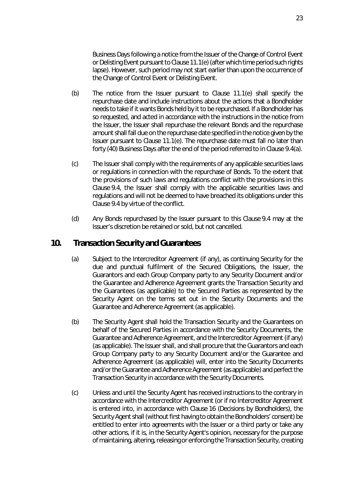Business Days following a notice from the Issuer of the Change of Control Event or Delisting Event pursuant to Claus[e 11.1\(e\) \(](#page-33-0)after which time period such rights lapse). However, such period may not start earlier than upon the occurrence of the Change of Control Event or Delisting Event.

- (b) The notice from the Issuer pursuant to Clause [11.1\(e\)](#page-33-0) shall specify the repurchase date and include instructions about the actions that a Bondholder needs to take if it wants Bonds held by it to be repurchased. If a Bondholder has so requested, and acted in accordance with the instructions in the notice from the Issuer, the Issuer shall repurchase the relevant Bonds and the repurchase amount shall fall due on the repurchase date specified in the notice given by the Issuer pursuant to Clause [11.1\(e\).](#page-33-0) The repurchase date must fall no later than forty (40) Business Days after the end of the period referred to in Clause [9.4\(a\).](#page-30-4)
- (c) The Issuer shall comply with the requirements of any applicable securities laws or regulations in connection with the repurchase of Bonds. To the extent that the provisions of such laws and regulations conflict with the provisions in this Claus[e 9.4,](#page-30-5) the Issuer shall comply with the applicable securities laws and regulations and will not be deemed to have breached its obligations under this Claus[e 9.4](#page-30-5) by virtue of the conflict.
- (d) Any Bonds repurchased by the Issuer pursuant to this Claus[e 9.4](#page-30-5) may at the Issuer's discretion be retained or sold, but not cancelled.

#### **10. Transaction Security and Guarantees**

- <span id="page-31-0"></span>(a) Subject to the Intercreditor Agreement (if any), as continuing Security for the due and punctual fulfilment of the Secured Obligations, the Issuer, the Guarantors and each Group Company party to any Security Document and/or the Guarantee and Adherence Agreement grants the Transaction Security and the Guarantees (as applicable) to the Secured Parties as represented by the Security Agent on the terms set out in the Security Documents and the Guarantee and Adherence Agreement (as applicable).
- (b) The Security Agent shall hold the Transaction Security and the Guarantees on behalf of the Secured Parties in accordance with the Security Documents, the Guarantee and Adherence Agreement, and the Intercreditor Agreement (if any) (as applicable). The Issuer shall, and shall procure that the Guarantors and each Group Company party to any Security Document and/or the Guarantee and Adherence Agreement (as applicable) will, enter into the Security Documents and/or the Guarantee and Adherence Agreement (as applicable) and perfect the Transaction Security in accordance with the Security Documents.
- (c) Unless and until the Security Agent has received instructions to the contrary in accordance with the Intercreditor Agreement (or if no Intercreditor Agreement is entered into, in accordance with Clause [16](#page-44-0) (*[Decisions by Bondholders](#page-44-0)*), the Security Agent shall (without first having to obtain the Bondholders' consent) be entitled to enter into agreements with the Issuer or a third party or take any other actions, if it is, in the Security Agent's opinion, necessary for the purpose of maintaining, altering, releasing or enforcing the Transaction Security, creating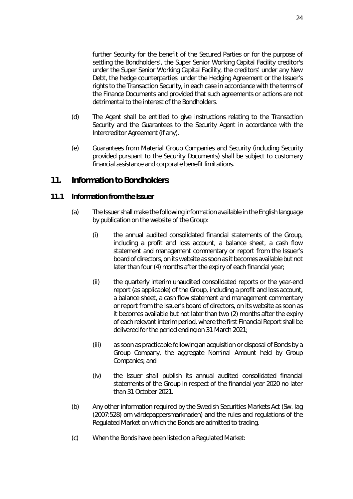further Security for the benefit of the Secured Parties or for the purpose of settling the Bondholders', the Super Senior Working Capital Facility creditor's under the Super Senior Working Capital Facility, the creditors' under any New Debt, the hedge counterparties' under the Hedging Agreement or the Issuer's rights to the Transaction Security, in each case in accordance with the terms of the Finance Documents and provided that such agreements or actions are not detrimental to the interest of the Bondholders.

- (d) The Agent shall be entitled to give instructions relating to the Transaction Security and the Guarantees to the Security Agent in accordance with the Intercreditor Agreement (if any).
- (e) Guarantees from Material Group Companies and Security (including Security provided pursuant to the Security Documents) shall be subject to customary financial assistance and corporate benefit limitations.

### <span id="page-32-0"></span>**11. Information to Bondholders**

#### <span id="page-32-4"></span><span id="page-32-3"></span>**11.1 Information from the Issuer**

- <span id="page-32-2"></span><span id="page-32-1"></span>(a) The Issuer shall make the following information available in the English language by publication on the website of the Group:
	- (i) the annual audited consolidated financial statements of the Group, including a profit and loss account, a balance sheet, a cash flow statement and management commentary or report from the Issuer's board of directors, on its website as soon as it becomes available but not later than four (4) months after the expiry of each financial year;
	- (ii) the quarterly interim unaudited consolidated reports or the year-end report (as applicable) of the Group, including a profit and loss account, a balance sheet, a cash flow statement and management commentary or report from the Issuer's board of directors, on its website as soon as it becomes available but not later than two (2) months after the expiry of each relevant interim period, where the first Financial Report shall be delivered for the period ending on 31 March 2021;
	- (iii) as soon as practicable following an acquisition or disposal of Bonds by a Group Company, the aggregate Nominal Amount held by Group Companies; and
	- (iv) the Issuer shall publish its annual audited consolidated financial statements of the Group in respect of the financial year 2020 no later than 31 October 2021.
- (b) Any other information required by the Swedish Securities Markets Act (Sw. *lag (2007:528) om värdepappersmarknaden*) and the rules and regulations of the Regulated Market on which the Bonds are admitted to trading.
- (c) When the Bonds have been listed on a Regulated Market: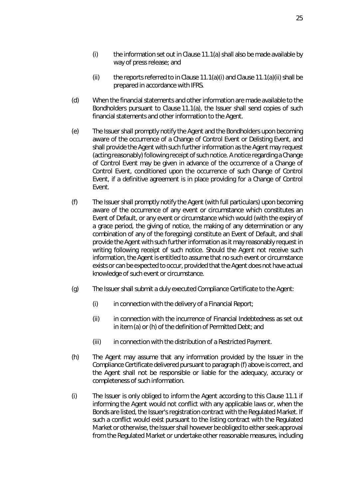- $(i)$  the information set out in Claus[e 11.1\(a\)](#page-32-3) shall also be made available by way of press release; and
- (ii) the reports referred to in Clause [11.1\(a\)\(i\)](#page-32-1) and Clause [11.1\(a\)\(ii\)](#page-32-2) shall be prepared in accordance with IFRS.
- (d) When the financial statements and other information are made available to the Bondholders pursuant to Clause [11.1\(a\),](#page-32-3) the Issuer shall send copies of such financial statements and other information to the Agent.
- <span id="page-33-0"></span>(e) The Issuer shall promptly notify the Agent and the Bondholders upon becoming aware of the occurrence of a Change of Control Event or Delisting Event, and shall provide the Agent with such further information as the Agent may request (acting reasonably) following receipt of such notice. A notice regarding a Change of Control Event may be given in advance of the occurrence of a Change of Control Event, conditioned upon the occurrence of such Change of Control Event, if a definitive agreement is in place providing for a Change of Control Event.
- <span id="page-33-1"></span>(f) The Issuer shall promptly notify the Agent (with full particulars) upon becoming aware of the occurrence of any event or circumstance which constitutes an Event of Default, or any event or circumstance which would (with the expiry of a grace period, the giving of notice, the making of any determination or any combination of any of the foregoing) constitute an Event of Default, and shall provide the Agent with such further information as it may reasonably request in writing following receipt of such notice. Should the Agent not receive such information, the Agent is entitled to assume that no such event or circumstance exists or can be expected to occur, provided that the Agent does not have actual knowledge of such event or circumstance.
- (g) The Issuer shall submit a duly executed Compliance Certificate to the Agent:
	- $(i)$  in connection with the delivery of a Financial Report;
	- (ii) in connection with the incurrence of Financial Indebtedness as set out in item (a) or (h) of the definition of Permitted Debt; and
	- (iii) in connection with the distribution of a Restricted Payment.
- (h) The Agent may assume that any information provided by the Issuer in the Compliance Certificate delivered pursuant to paragrap[h \(f\)](#page-33-1) above is correct, and the Agent shall not be responsible or liable for the adequacy, accuracy or completeness of such information.
- (i) The Issuer is only obliged to inform the Agent according to this Clause [11.1](#page-32-4) if informing the Agent would not conflict with any applicable laws or, when the Bonds are listed, the Issuer's registration contract with the Regulated Market. If such a conflict would exist pursuant to the listing contract with the Regulated Market or otherwise, the Issuer shall however be obliged to either seek approval from the Regulated Market or undertake other reasonable measures, including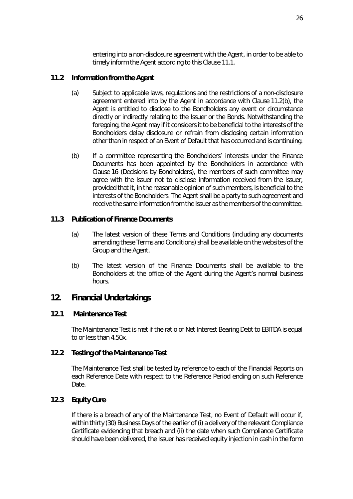entering into a non-disclosure agreement with the Agent, in order to be able to timely inform the Agent according to this Clause [11.1.](#page-32-4)

#### **11.2 Information from the Agent**

- (a) Subject to applicable laws, regulations and the restrictions of a non-disclosure agreement entered into by the Agent in accordance with Claus[e 11.2\(b\),](#page-34-2) the Agent is entitled to disclose to the Bondholders any event or circumstance directly or indirectly relating to the Issuer or the Bonds. Notwithstanding the foregoing, the Agent may if it considers it to be beneficial to the interests of the Bondholders delay disclosure or refrain from disclosing certain information other than in respect of an Event of Default that has occurred and is continuing.
- <span id="page-34-2"></span>(b) If a committee representing the Bondholders' interests under the Finance Documents has been appointed by the Bondholders in accordance with Claus[e 16](#page-44-0) (*[Decisions by Bondholders](#page-44-0)*), the members of such committee may agree with the Issuer not to disclose information received from the Issuer, provided that it, in the reasonable opinion of such members, is beneficial to the interests of the Bondholders. The Agent shall be a party to such agreement and receive the same information from the Issuer as the members of the committee.

#### **11.3 Publication of Finance Documents**

- (a) The latest version of these Terms and Conditions (including any documents amending these Terms and Conditions) shall be available on the websites of the Group and the Agent.
- (b) The latest version of the Finance Documents shall be available to the Bondholders at the office of the Agent during the Agent's normal business hours.

#### <span id="page-34-0"></span>**12. Financial Undertakings**

#### **12.1 Maintenance Test**

<span id="page-34-1"></span>The Maintenance Test is met if the ratio of Net Interest Bearing Debt to EBITDA is equal to or less than 4.50x.

#### **12.2 Testing of the Maintenance Test**

The Maintenance Test shall be tested by reference to each of the Financial Reports on each Reference Date with respect to the Reference Period ending on such Reference Date.

#### **12.3 Equity Cure**

If there is a breach of any of the Maintenance Test, no Event of Default will occur if, within thirty (30) Business Days of the earlier of (i) a delivery of the relevant Compliance Certificate evidencing that breach and (ii) the date when such Compliance Certificate should have been delivered, the Issuer has received equity injection in cash in the form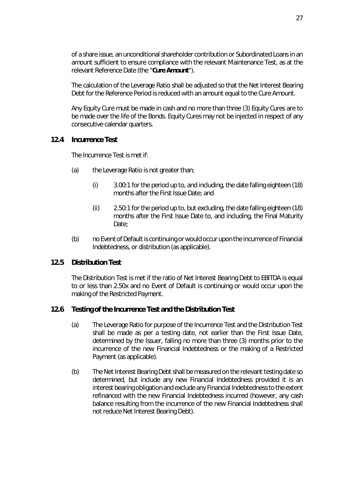of a share issue, an unconditional shareholder contribution or Subordinated Loans in an amount sufficient to ensure compliance with the relevant Maintenance Test, as at the relevant Reference Date (the "**Cure Amount**").

The calculation of the Leverage Ratio shall be adjusted so that the Net Interest Bearing Debt for the Reference Period is reduced with an amount equal to the Cure Amount.

Any Equity Cure must be made in cash and no more than three (3) Equity Cures are to be made over the life of the Bonds. Equity Cures may not be injected in respect of any consecutive calendar quarters.

#### <span id="page-35-1"></span>**12.4 Incurrence Test**

The Incurrence Test is met if:

- (a) the Leverage Ratio is not greater than;
	- (i) 3.00:1 for the period up to, and including, the date falling eighteen (18) months after the First Issue Date; and
	- (ii) 2.50:1 for the period up to, but excluding, the date falling eighteen (18) months after the First Issue Date to, and including, the Final Maturity Date;
- (b) no Event of Default is continuing or would occur upon the incurrence of Financial Indebtedness, or distribution (as applicable).

#### <span id="page-35-0"></span>**12.5 Distribution Test**

The Distribution Test is met if the ratio of Net Interest Bearing Debt to EBITDA is equal to or less than 2.50x and no Event of Default is continuing or would occur upon the making of the Restricted Payment.

#### **12.6 Testing of the Incurrence Test and the Distribution Test**

- (a) The Leverage Ratio for purpose of the Incurrence Test and the Distribution Test shall be made as per a testing date, not earlier than the First Issue Date, determined by the Issuer, falling no more than three (3) months prior to the incurrence of the new Financial Indebtedness or the making of a Restricted Payment (as applicable).
- (b) The Net Interest Bearing Debt shall be measured on the relevant testing date so determined, but include any new Financial Indebtedness provided it is an interest bearing obligation and exclude any Financial Indebtedness to the extent refinanced with the new Financial Indebtedness incurred (however, any cash balance resulting from the incurrence of the new Financial Indebtedness shall not reduce Net Interest Bearing Debt).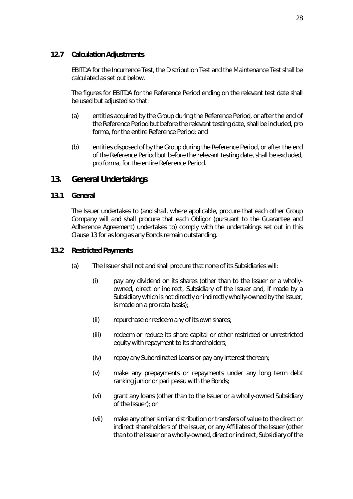### **12.7 Calculation Adjustments**

EBITDA for the Incurrence Test, the Distribution Test and the Maintenance Test shall be calculated as set out below.

The figures for EBITDA for the Reference Period ending on the relevant test date shall be used but adjusted so that:

- (a) entities acquired by the Group during the Reference Period, or after the end of the Reference Period but before the relevant testing date, shall be included, *pro forma*, for the entire Reference Period; and
- (b) entities disposed of by the Group during the Reference Period, or after the end of the Reference Period but before the relevant testing date, shall be excluded, *pro forma*, for the entire Reference Period.

## <span id="page-36-0"></span>**13. General Undertakings**

### **13.1 General**

The Issuer undertakes to (and shall, where applicable, procure that each other Group Company will and shall procure that each Obligor (pursuant to the Guarantee and Adherence Agreement) undertakes to) comply with the undertakings set out in this Clause [13 f](#page-36-0)or as long as any Bonds remain outstanding.

### **13.2 Restricted Payments**

- <span id="page-36-2"></span><span id="page-36-1"></span>(a) The Issuer shall not and shall procure that none of its Subsidiaries will:
	- (i) pay any dividend on its shares (other than to the Issuer or a whollyowned, direct or indirect, Subsidiary of the Issuer and, if made by a Subsidiary which is not directly or indirectly wholly-owned by the Issuer, is made on a *pro rata* basis);
	- (ii) repurchase or redeem any of its own shares;
	- (iii) redeem or reduce its share capital or other restricted or unrestricted equity with repayment to its shareholders;
	- (iv) repay any Subordinated Loans or pay any interest thereon;
	- (v) make any prepayments or repayments under any long term debt ranking junior or *pari passu* with the Bonds;
	- (vi) grant any loans (other than to the Issuer or a wholly-owned Subsidiary of the Issuer); or
	- (vii) make any other similar distribution or transfers of value to the direct or indirect shareholders of the Issuer, or any Affiliates of the Issuer (other than to the Issuer or a wholly-owned, direct or indirect, Subsidiary of the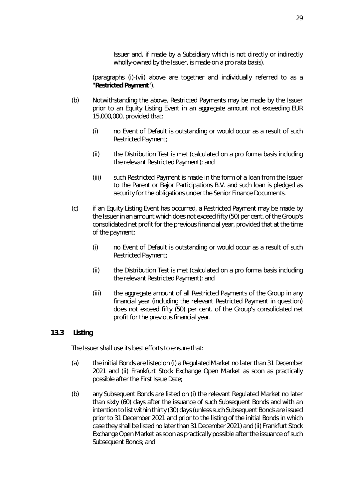Issuer and, if made by a Subsidiary which is not directly or indirectly wholly-owned by the Issuer, is made on a *pro rata basis*).

(paragraphs [\(i\)](#page-36-1)[-\(vii\)](#page-36-2) above are together and individually referred to as a "**Restricted Payment**").

- (b) Notwithstanding the above, Restricted Payments may be made by the Issuer prior to an Equity Listing Event in an aggregate amount not exceeding EUR 15,000,000, provided that:
	- (i) no Event of Default is outstanding or would occur as a result of such Restricted Payment;
	- (ii) the Distribution Test is met (calculated on a *pro forma* basis including the relevant Restricted Payment); and
	- (iii) such Restricted Payment is made in the form of a loan from the Issuer to the Parent or Bajor Participations B.V. and such loan is pledged as security for the obligations under the Senior Finance Documents.
- (c) if an Equity Listing Event has occurred, a Restricted Payment may be made by the Issuer in an amount which does not exceed fifty (50) per cent. of the Group's consolidated net profit for the previous financial year, provided that at the time of the payment:
	- (i) no Event of Default is outstanding or would occur as a result of such Restricted Payment;
	- (ii) the Distribution Test is met (calculated on a *pro forma* basis including the relevant Restricted Payment); and
	- (iii) the aggregate amount of all Restricted Payments of the Group in any financial year (including the relevant Restricted Payment in question) does not exceed fifty (50) per cent. of the Group's consolidated net profit for the previous financial year.

### **13.3 Listing**

The Issuer shall use its best efforts to ensure that:

- (a) the initial Bonds are listed on (i) a Regulated Market no later than 31 December 2021 and (ii) Frankfurt Stock Exchange Open Market as soon as practically possible after the First Issue Date;
- (b) any Subsequent Bonds are listed on (i) the relevant Regulated Market no later than sixty (60) days after the issuance of such Subsequent Bonds and with an intention to list within thirty (30) days (unless such Subsequent Bonds are issued prior to 31 December 2021 and prior to the listing of the initial Bonds in which case they shall be listed no later than 31 December 2021) and (ii) Frankfurt Stock Exchange Open Market as soon as practically possible after the issuance of such Subsequent Bonds; and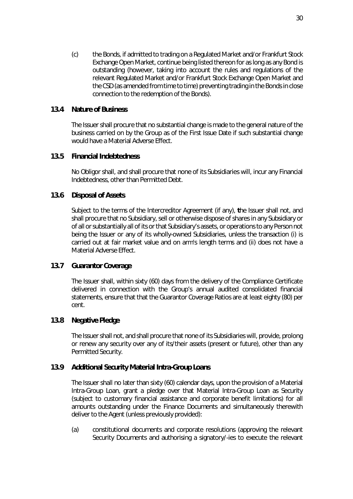(c) the Bonds, if admitted to trading on a Regulated Market and/or Frankfurt Stock Exchange Open Market, continue being listed thereon for as long as any Bond is outstanding (however, taking into account the rules and regulations of the relevant Regulated Market and/or Frankfurt Stock Exchange Open Market and the CSD (as amended from time to time) preventing trading in the Bonds in close connection to the redemption of the Bonds).

### **13.4 Nature of Business**

The Issuer shall procure that no substantial change is made to the general nature of the business carried on by the Group as of the First Issue Date if such substantial change would have a Material Adverse Effect.

### **13.5 Financial Indebtedness**

No Obligor shall, and shall procure that none of its Subsidiaries will, incur any Financial Indebtedness, other than Permitted Debt.

### **13.6 Disposal of Assets**

Subject to the terms of the Intercreditor Agreement (if any), **t**he Issuer shall not, and shall procure that no Subsidiary, sell or otherwise dispose of shares in any Subsidiary or of all or substantially all of its or that Subsidiary's assets, or operations to any Person not being the Issuer or any of its wholly-owned Subsidiaries, unless the transaction (i) is carried out at fair market value and on arm's length terms and (ii) does not have a Material Adverse Effect.

#### **13.7 Guarantor Coverage**

The Issuer shall, within sixty (60) days from the delivery of the Compliance Certificate delivered in connection with the Group's annual audited consolidated financial statements, ensure that that the Guarantor Coverage Ratios are at least eighty (80) per cent.

#### **13.8 Negative Pledge**

The Issuer shall not, and shall procure that none of its Subsidiaries will, provide, prolong or renew any security over any of its/their assets (present or future), other than any Permitted Security.

#### **13.9 Additional Security Material Intra-Group Loans**

The Issuer shall no later than sixty (60) calendar days, upon the provision of a Material Intra-Group Loan, grant a pledge over that Material Intra-Group Loan as Security (subject to customary financial assistance and corporate benefit limitations) for all amounts outstanding under the Finance Documents and simultaneously therewith deliver to the Agent (unless previously provided):

(a) constitutional documents and corporate resolutions (approving the relevant Security Documents and authorising a signatory/-ies to execute the relevant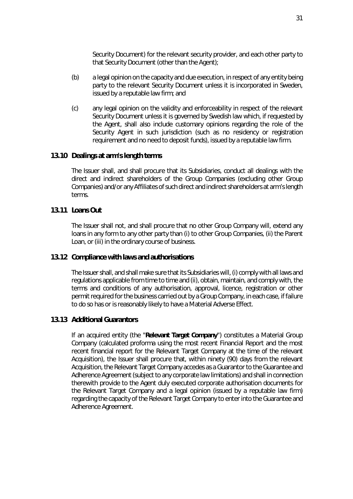Security Document) for the relevant security provider, and each other party to that Security Document (other than the Agent);

- (b) a legal opinion on the capacity and due execution, in respect of any entity being party to the relevant Security Document unless it is incorporated in Sweden, issued by a reputable law firm; and
- (c) any legal opinion on the validity and enforceability in respect of the relevant Security Document unless it is governed by Swedish law which, if requested by the Agent, shall also include customary opinions regarding the role of the Security Agent in such jurisdiction (such as no residency or registration requirement and no need to deposit funds), issued by a reputable law firm.

#### **13.10 Dealings at arm's length terms**

The Issuer shall, and shall procure that its Subsidiaries, conduct all dealings with the direct and indirect shareholders of the Group Companies (excluding other Group Companies) and/or any Affiliates of such direct and indirect shareholders at arm's length terms.

#### **13.11 Loans Out**

The Issuer shall not, and shall procure that no other Group Company will, extend any loans in any form to any other party than (i) to other Group Companies, (ii) the Parent Loan, or (iii) in the ordinary course of business.

#### **13.12 Compliance with laws and authorisations**

The Issuer shall, and shall make sure that its Subsidiaries will, (i) comply with all laws and regulations applicable from time to time and (ii), obtain, maintain, and comply with, the terms and conditions of any authorisation, approval, licence, registration or other permit required for the business carried out by a Group Company, in each case, if failure to do so has or is reasonably likely to have a Material Adverse Effect.

#### **13.13 Additional Guarantors**

If an acquired entity (the "**Relevant Target Company**") constitutes a Material Group Company (calculated proforma using the most recent Financial Report and the most recent financial report for the Relevant Target Company at the time of the relevant Acquisition), the Issuer shall procure that, within ninety (90) days from the relevant Acquisition, the Relevant Target Company accedes as a Guarantor to the Guarantee and Adherence Agreement (subject to any corporate law limitations) and shall in connection therewith provide to the Agent duly executed corporate authorisation documents for the Relevant Target Company and a legal opinion (issued by a reputable law firm) regarding the capacity of the Relevant Target Company to enter into the Guarantee and Adherence Agreement.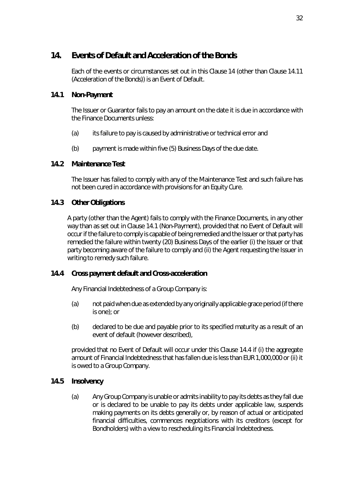## <span id="page-40-0"></span>**14. Events of Default and Acceleration of the Bonds**

Each of the events or circumstances set out in this Claus[e 14](#page-40-0) (other than Clause [14.11](#page-42-0)  (*[Acceleration of the Bonds](#page-42-0)*)) is an Event of Default.

### <span id="page-40-1"></span>**14.1 Non-Payment**

The Issuer or Guarantor fails to pay an amount on the date it is due in accordance with the Finance Documents unless:

- (a) its failure to pay is caused by administrative or technical error and
- (b) payment is made within five (5) Business Days of the due date.

### **14.2 Maintenance Test**

The Issuer has failed to comply with any of the Maintenance Test and such failure has not been cured in accordance with provisions for an Equity Cure.

## **14.3 Other Obligations**

A party (other than the Agent) fails to comply with the Finance Documents, in any other way than as set out in Clause [14.1](#page-40-1) (*[Non-Payment](#page-40-1)*), provided that no Event of Default will occur if the failure to comply is capable of being remedied and the Issuer or that party has remedied the failure within twenty (20) Business Days of the earlier (i) the Issuer or that party becoming aware of the failure to comply and (ii) the Agent requesting the Issuer in writing to remedy such failure.

### <span id="page-40-2"></span>**14.4 Cross payment default and Cross-acceleration**

Any Financial Indebtedness of a Group Company is:

- (a) not paid when due as extended by any originally applicable grace period (if there is one); or
- (b) declared to be due and payable prior to its specified maturity as a result of an event of default (however described),

provided that no Event of Default will occur under this Clause [14.4](#page-40-2) if (i) the aggregate amount of Financial Indebtedness that has fallen due is less than EUR 1,000,000 or (ii) it is owed to a Group Company.

### **14.5 Insolvency**

(a) Any Group Company is unable or admits inability to pay its debts as they fall due or is declared to be unable to pay its debts under applicable law, suspends making payments on its debts generally or, by reason of actual or anticipated financial difficulties, commences negotiations with its creditors (except for Bondholders) with a view to rescheduling its Financial Indebtedness.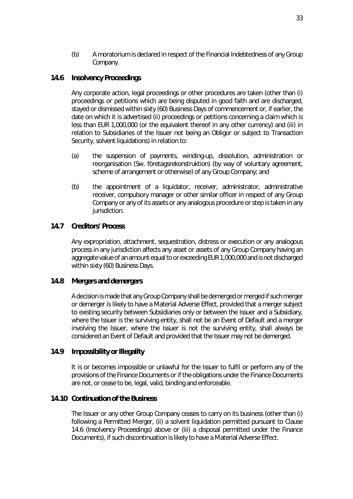(b) A moratorium is declared in respect of the Financial Indebtedness of any Group Company.

### <span id="page-41-0"></span>**14.6 Insolvency Proceedings**

Any corporate action, legal proceedings or other procedures are taken (other than (i) proceedings or petitions which are being disputed in good faith and are discharged, stayed or dismissed within sixty (60) Business Days of commencement or, if earlier, the date on which it is advertised (ii) proceedings or petitions concerning a claim which is less than EUR 1,000,000 (or the equivalent thereof in any other currency) and (iii) in relation to Subsidiaries of the Issuer not being an Obligor or subject to Transaction Security, solvent liquidations) in relation to:

- (a) the suspension of payments, winding-up, dissolution, administration or reorganisation (Sw. *företagsrekonstruktion*) (by way of voluntary agreement, scheme of arrangement or otherwise) of any Group Company; and
- (b) the appointment of a liquidator, receiver, administrator, administrative receiver, compulsory manager or other similar officer in respect of any Group Company or any of its assets or any analogous procedure or step is taken in any jurisdiction.

### **14.7 Creditors' Process**

Any expropriation, attachment, sequestration, distress or execution or any analogous process in any jurisdiction affects any asset or assets of any Group Company having an aggregate value of an amount equal to or exceeding EUR 1,000,000 and is not discharged within sixty (60) Business Days.

#### **14.8 Mergers and demergers**

A decision is made that any Group Company shall be demerged or merged if such merger or demerger is likely to have a Material Adverse Effect, provided that a merger subject to existing security between Subsidiaries only or between the Issuer and a Subsidiary, where the Issuer is the surviving entity, shall not be an Event of Default and a merger involving the Issuer, where the Issuer is not the surviving entity, shall always be considered an Event of Default and provided that the Issuer may not be demerged.

#### **14.9 Impossibility or Illegality**

It is or becomes impossible or unlawful for the Issuer to fulfil or perform any of the provisions of the Finance Documents or if the obligations under the Finance Documents are not, or cease to be, legal, valid, binding and enforceable.

#### **14.10 Continuation of the Business**

The Issuer or any other Group Company ceases to carry on its business (other than (i) following a Permitted Merger, (ii) a solvent liquidation permitted pursuant to Clause [14.6](#page-41-0) (*[Insolvency Proceedings](#page-41-0)*) above or (iii) a disposal permitted under the Finance Documents), if such discontinuation is likely to have a Material Adverse Effect.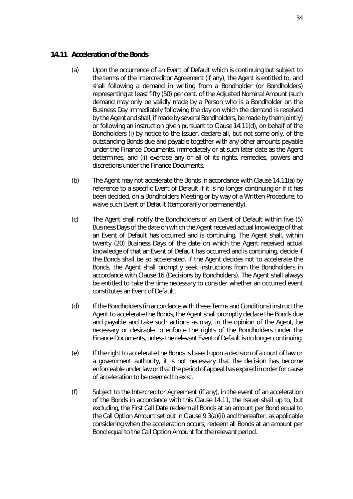#### <span id="page-42-2"></span><span id="page-42-0"></span>**14.11 Acceleration of the Bonds**

- (a) Upon the occurrence of an Event of Default which is continuing but subject to the terms of the Intercreditor Agreement (if any), the Agent is entitled to, and shall following a demand in writing from a Bondholder (or Bondholders) representing at least fifty (50) per cent. of the Adjusted Nominal Amount (such demand may only be validly made by a Person who is a Bondholder on the Business Day immediately following the day on which the demand is received by the Agent and shall, if made by several Bondholders, be made by them jointly) or following an instruction given pursuant to Claus[e 14.11\(d\),](#page-42-1) on behalf of the Bondholders (i) by notice to the Issuer, declare all, but not some only, of the outstanding Bonds due and payable together with any other amounts payable under the Finance Documents, immediately or at such later date as the Agent determines, and (ii) exercise any or all of its rights, remedies, powers and discretions under the Finance Documents.
- (b) The Agent may not accelerate the Bonds in accordance with Clause [14.11\(a\)](#page-42-2) by reference to a specific Event of Default if it is no longer continuing or if it has been decided, on a Bondholders Meeting or by way of a Written Procedure, to waive such Event of Default (temporarily or permanently).
- <span id="page-42-3"></span>(c) The Agent shall notify the Bondholders of an Event of Default within five (5) Business Days of the date on which the Agent received actual knowledge of that an Event of Default has occurred and is continuing. The Agent shall, within twenty (20) Business Days of the date on which the Agent received actual knowledge of that an Event of Default has occurred and is continuing, decide if the Bonds shall be so accelerated. If the Agent decides not to accelerate the Bonds, the Agent shall promptly seek instructions from the Bondholders in accordance with Clause [16](#page-44-0) (*[Decisions by Bondholders](#page-44-0)*). The Agent shall always be entitled to take the time necessary to consider whether an occurred event constitutes an Event of Default.
- <span id="page-42-1"></span>(d) If the Bondholders (in accordance with these Terms and Conditions) instruct the Agent to accelerate the Bonds, the Agent shall promptly declare the Bonds due and payable and take such actions as may, in the opinion of the Agent, be necessary or desirable to enforce the rights of the Bondholders under the Finance Documents, unless the relevant Event of Default is no longer continuing.
- (e) If the right to accelerate the Bonds is based upon a decision of a court of law or a government authority, it is not necessary that the decision has become enforceable under law or that the period of appeal has expired in order for cause of acceleration to be deemed to exist.
- (f) Subject to the Intercreditor Agreement (if any), in the event of an acceleration of the Bonds in accordance with this Clause [14.11,](#page-42-0) the Issuer shall up to, but excluding, the First Call Date redeem all Bonds at an amount per Bond equal to the Call Option Amount set out in Claus[e 9.3\(a\)\(ii\)](#page-30-0) and thereafter, as applicable considering when the acceleration occurs, redeem all Bonds at an amount per Bond equal to the Call Option Amount for the relevant period.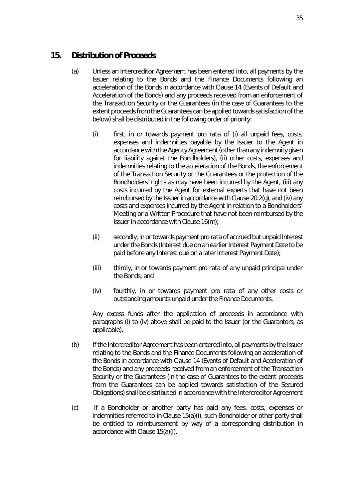## <span id="page-43-2"></span>**15. Distribution of Proceeds**

- <span id="page-43-0"></span>(a) Unless an Intercreditor Agreement has been entered into, all payments by the Issuer relating to the Bonds and the Finance Documents following an acceleration of the Bonds in accordance with Claus[e 14](#page-40-0) (*[Events of Default and](#page-40-0)  [Acceleration of the Bonds](#page-40-0)*) and any proceeds received from an enforcement of the Transaction Security or the Guarantees (in the case of Guarantees to the extent proceeds from the Guarantees can be applied towards satisfaction of the below) shall be distributed in the following order of priority:
	- (i) *first*, in or towards payment *pro rata* of (i) all unpaid fees, costs, expenses and indemnities payable by the Issuer to the Agent in accordance with the Agency Agreement (other than any indemnity given for liability against the Bondholders), (ii) other costs, expenses and indemnities relating to the acceleration of the Bonds, the enforcement of the Transaction Security or the Guarantees or the protection of the Bondholders' rights as may have been incurred by the Agent, (iii) any costs incurred by the Agent for external experts that have not been reimbursed by the Issuer in accordance with Clause [20.2\(g\),](#page-51-0) and (iv) any costs and expenses incurred by the Agent in relation to a Bondholders' Meeting or a Written Procedure that have not been reimbursed by the Issuer in accordance with Clause [16\(m\);](#page-47-0)
	- (ii) *secondly*, in or towards payment *pro rata* of accrued but unpaid Interest under the Bonds (Interest due on an earlier Interest Payment Date to be paid before any Interest due on a later Interest Payment Date);
	- (iii) *thirdly*, in or towards payment *pro rata* of any unpaid principal under the Bonds; and
	- (iv) *fourthly*, in or towards payment *pro rata* of any other costs or outstanding amounts unpaid under the Finance Documents.

<span id="page-43-1"></span>Any excess funds after the application of proceeds in accordance with paragraphs [\(i\)](#page-43-0) to [\(iv\)](#page-43-1) above shall be paid to the Issuer (or the Guarantors, as applicable).

- (b) If the Intercreditor Agreement has been entered into, all payments by the Issuer relating to the Bonds and the Finance Documents following an acceleration of the Bonds in accordance with Clause [14](#page-40-0) (*[Events of Default and Acceleration of](#page-40-0)  [the Bonds](#page-40-0)*) and any proceeds received from an enforcement of the Transaction Security or the Guarantees (in the case of Guarantees to the extent proceeds from the Guarantees can be applied towards satisfaction of the Secured Obligations) shall be distributed in accordance with the Intercreditor Agreement
- (c) If a Bondholder or another party has paid any fees, costs, expenses or indemnities referred to in Claus[e 15\(a\)\(i\),](#page-43-0) such Bondholder or other party shall be entitled to reimbursement by way of a corresponding distribution in accordance with Claus[e 15\(a\)\(i\).](#page-43-0)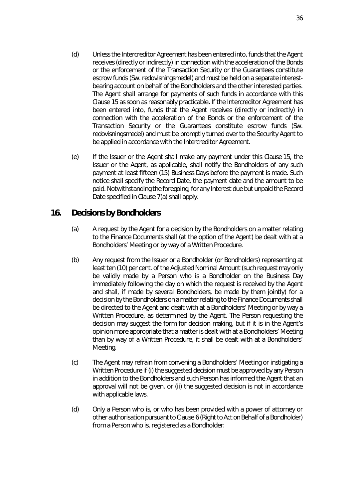- (d) Unless the Intercreditor Agreement has been entered into, funds that the Agent receives (directly or indirectly) in connection with the acceleration of the Bonds or the enforcement of the Transaction Security or the Guarantees constitute escrow funds (Sw. *redovisningsmedel*) and must be held on a separate interestbearing account on behalf of the Bondholders and the other interested parties. The Agent shall arrange for payments of such funds in accordance with this Claus[e 15](#page-43-2) as soon as reasonably practicable**.** If the Intercreditor Agreement has been entered into, funds that the Agent receives (directly or indirectly) in connection with the acceleration of the Bonds or the enforcement of the Transaction Security or the Guarantees constitute escrow funds (Sw. *redovisningsmedel*) and must be promptly turned over to the Security Agent to be applied in accordance with the Intercreditor Agreement.
- (e) If the Issuer or the Agent shall make any payment under this Claus[e 15,](#page-43-2) the Issuer or the Agent, as applicable, shall notify the Bondholders of any such payment at least fifteen (15) Business Days before the payment is made. Such notice shall specify the Record Date, the payment date and the amount to be paid. Notwithstanding the foregoing, for any Interest due but unpaid the Record Date specified in Claus[e 7\(a\)](#page-28-0) shall apply.

## <span id="page-44-0"></span>**16. Decisions by Bondholders**

- (a) A request by the Agent for a decision by the Bondholders on a matter relating to the Finance Documents shall (at the option of the Agent) be dealt with at a Bondholders' Meeting or by way of a Written Procedure.
- (b) Any request from the Issuer or a Bondholder (or Bondholders) representing at least ten (10) per cent. of the Adjusted Nominal Amount (such request may only be validly made by a Person who is a Bondholder on the Business Day immediately following the day on which the request is received by the Agent and shall, if made by several Bondholders, be made by them jointly) for a decision by the Bondholders on a matter relating to the Finance Documents shall be directed to the Agent and dealt with at a Bondholders' Meeting or by way a Written Procedure, as determined by the Agent. The Person requesting the decision may suggest the form for decision making, but if it is in the Agent's opinion more appropriate that a matter is dealt with at a Bondholders' Meeting than by way of a Written Procedure, it shall be dealt with at a Bondholders' Meeting.
- (c) The Agent may refrain from convening a Bondholders' Meeting or instigating a Written Procedure if (i) the suggested decision must be approved by any Person in addition to the Bondholders and such Person has informed the Agent that an approval will not be given, or (ii) the suggested decision is not in accordance with applicable laws.
- (d) Only a Person who is, or who has been provided with a power of attorney or other authorisation pursuant to Claus[e 6](#page-28-1) (*[Right to Act on Behalf of a Bondholder](#page-28-1)*) from a Person who is, registered as a Bondholder: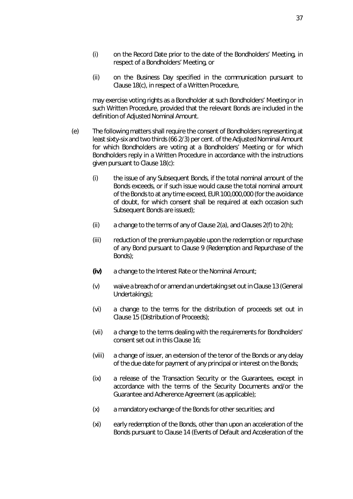- (i) on the Record Date prior to the date of the Bondholders' Meeting, in respect of a Bondholders' Meeting, or
- (ii) on the Business Day specified in the communication pursuant to Clause [18\(c\),](#page-48-0) in respect of a Written Procedure,

may exercise voting rights as a Bondholder at such Bondholders' Meeting or in such Written Procedure, provided that the relevant Bonds are included in the definition of Adjusted Nominal Amount.

- <span id="page-45-0"></span>(e) The following matters shall require the consent of Bondholders representing at least sixty-six and two thirds (66 2/3) per cent. of the Adjusted Nominal Amount for which Bondholders are voting at a Bondholders' Meeting or for which Bondholders reply in a Written Procedure in accordance with the instructions given pursuant to Claus[e 18\(c\):](#page-48-0)
	- (i) the issue of any Subsequent Bonds, if the total nominal amount of the Bonds exceeds, or if such issue would cause the total nominal amount of the Bonds to at any time exceed, EUR 100,000,000 (for the avoidance of doubt, for which consent shall be required at each occasion such Subsequent Bonds are issued);
	- (ii) a change to the terms of any of Clause  $2(a)$ , and Clauses  $2(f)$  to  $2(h)$ ;
	- (iii) reduction of the premium payable upon the redemption or repurchase of any Bond pursuant to Clause [9](#page-29-0) (*[Redemption and Repurchase of the](#page-29-0)  [Bonds](#page-29-0)*);
	- *(iv)* a change to the Interest Rate or the Nominal Amount;
	- (v) waive a breach of or amend an undertaking set out in Clause [13](#page-36-0) (*[General](#page-36-0)  [Undertakings](#page-36-0)*);
	- (vi) a change to the terms for the distribution of proceeds set out in Clause [15](#page-43-2) (*[Distribution of Proceeds](#page-43-2)*);
	- (vii) a change to the terms dealing with the requirements for Bondholders' consent set out in this Clause [16;](#page-44-0)
	- (viii) a change of issuer, an extension of the tenor of the Bonds or any delay of the due date for payment of any principal or interest on the Bonds;
	- (ix) a release of the Transaction Security or the Guarantees, except in accordance with the terms of the Security Documents and/or the Guarantee and Adherence Agreement (as applicable);
	- (x) a mandatory exchange of the Bonds for other securities; and
	- (xi) early redemption of the Bonds, other than upon an acceleration of the Bonds pursuant to Clause [14](#page-40-0) (*[Events of Default and Acceleration of the](#page-40-0)*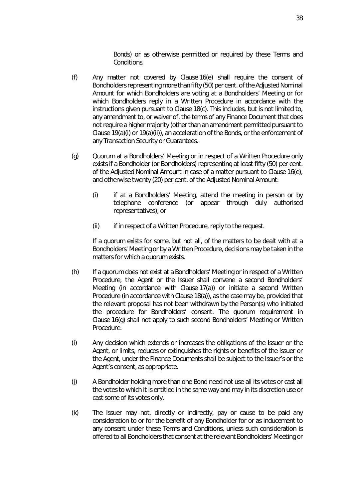*[Bonds](#page-40-0)*) or as otherwise permitted or required by these Terms and Conditions.

- <span id="page-46-1"></span>(f) Any matter not covered by Clause [16\(e\)](#page-45-0) shall require the consent of Bondholders representing more than fifty (50) per cent. of the Adjusted Nominal Amount for which Bondholders are voting at a Bondholders' Meeting or for which Bondholders reply in a Written Procedure in accordance with the instructions given pursuant to Clause [18\(c\).](#page-48-0) This includes, but is not limited to, any amendment to, or waiver of, the terms of any Finance Document that does not require a higher majority (other than an amendment permitted pursuant to Claus[e 19\(a\)\(i\)](#page-49-0) o[r 19\(a\)\(ii\)\)](#page-49-1), an acceleration of the Bonds, or the enforcement of any Transaction Security or Guarantees.
- <span id="page-46-0"></span>(g) Quorum at a Bondholders' Meeting or in respect of a Written Procedure only exists if a Bondholder (or Bondholders) representing at least fifty (50) per cent. of the Adjusted Nominal Amount in case of a matter pursuant to Clause [16\(e\),](#page-45-0) and otherwise twenty (20) per cent. of the Adjusted Nominal Amount:
	- (i) if at a Bondholders' Meeting, attend the meeting in person or by telephone conference (or appear through duly authorised representatives); or
	- (ii) if in respect of a Written Procedure, reply to the request.

If a quorum exists for some, but not all, of the matters to be dealt with at a Bondholders' Meeting or by a Written Procedure, decisions may be taken in the matters for which a quorum exists.

- (h) If a quorum does not exist at a Bondholders' Meeting or in respect of a Written Procedure, the Agent or the Issuer shall convene a second Bondholders' Meeting (in accordance with Clause [17\(a\)\)](#page-47-1) or initiate a second Written Procedure (in accordance with Clause [18\(a\)\)](#page-48-1), as the case may be, provided that the relevant proposal has not been withdrawn by the Person(s) who initiated the procedure for Bondholders' consent. The quorum requirement in Claus[e 16\(g\)](#page-46-0) shall not apply to such second Bondholders' Meeting or Written Procedure.
- (i) Any decision which extends or increases the obligations of the Issuer or the Agent, or limits, reduces or extinguishes the rights or benefits of the Issuer or the Agent, under the Finance Documents shall be subject to the Issuer's or the Agent's consent, as appropriate.
- (j) A Bondholder holding more than one Bond need not use all its votes or cast all the votes to which it is entitled in the same way and may in its discretion use or cast some of its votes only.
- (k) The Issuer may not, directly or indirectly, pay or cause to be paid any consideration to or for the benefit of any Bondholder for or as inducement to any consent under these Terms and Conditions, unless such consideration is offered to all Bondholders that consent at the relevant Bondholders' Meeting or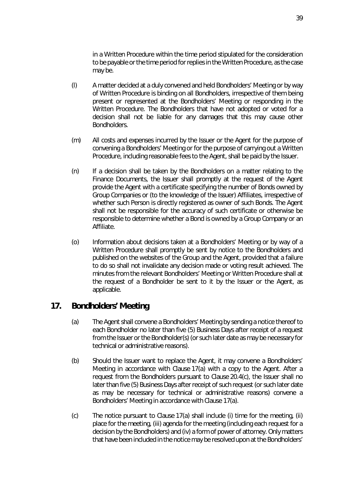in a Written Procedure within the time period stipulated for the consideration to be payable or the time period for replies in the Written Procedure, as the case may be.

- (l) A matter decided at a duly convened and held Bondholders' Meeting or by way of Written Procedure is binding on all Bondholders, irrespective of them being present or represented at the Bondholders' Meeting or responding in the Written Procedure. The Bondholders that have not adopted or voted for a decision shall not be liable for any damages that this may cause other Bondholders.
- <span id="page-47-0"></span>(m) All costs and expenses incurred by the Issuer or the Agent for the purpose of convening a Bondholders' Meeting or for the purpose of carrying out a Written Procedure, including reasonable fees to the Agent, shall be paid by the Issuer.
- (n) If a decision shall be taken by the Bondholders on a matter relating to the Finance Documents, the Issuer shall promptly at the request of the Agent provide the Agent with a certificate specifying the number of Bonds owned by Group Companies or (to the knowledge of the Issuer) Affiliates, irrespective of whether such Person is directly registered as owner of such Bonds. The Agent shall not be responsible for the accuracy of such certificate or otherwise be responsible to determine whether a Bond is owned by a Group Company or an Affiliate.
- <span id="page-47-2"></span>(o) Information about decisions taken at a Bondholders' Meeting or by way of a Written Procedure shall promptly be sent by notice to the Bondholders and published on the websites of the Group and the Agent, provided that a failure to do so shall not invalidate any decision made or voting result achieved. The minutes from the relevant Bondholders' Meeting or Written Procedure shall at the request of a Bondholder be sent to it by the Issuer or the Agent, as applicable.

## <span id="page-47-1"></span>**17. Bondholders' Meeting**

- (a) The Agent shall convene a Bondholders' Meeting by sending a notice thereof to each Bondholder no later than five (5) Business Days after receipt of a request from the Issuer or the Bondholder(s) (or such later date as may be necessary for technical or administrative reasons).
- (b) Should the Issuer want to replace the Agent, it may convene a Bondholders' Meeting in accordance with Claus[e 17\(a\)](#page-47-1) with a copy to the Agent. After a request from the Bondholders pursuant to Clause [20.4\(c\),](#page-53-0) the Issuer shall no later than five (5) Business Days after receipt of such request (or such later date as may be necessary for technical or administrative reasons) convene a Bondholders' Meeting in accordance with Claus[e 17\(a\).](#page-47-1)
- (c) The notice pursuant to Clause [17\(a\)](#page-47-1) shall include (i) time for the meeting, (ii) place for the meeting, (iii) agenda for the meeting (including each request for a decision by the Bondholders) and (iv) a form of power of attorney. Only matters that have been included in the notice may be resolved upon at the Bondholders'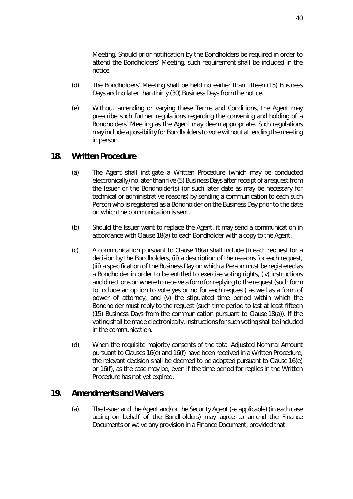Meeting. Should prior notification by the Bondholders be required in order to attend the Bondholders' Meeting, such requirement shall be included in the notice.

- (d) The Bondholders' Meeting shall be held no earlier than fifteen (15) Business Days and no later than thirty (30) Business Days from the notice.
- (e) Without amending or varying these Terms and Conditions, the Agent may prescribe such further regulations regarding the convening and holding of a Bondholders' Meeting as the Agent may deem appropriate. Such regulations may include a possibility for Bondholders to vote without attending the meeting in person.

## <span id="page-48-1"></span>**18. Written Procedure**

- (a) The Agent shall instigate a Written Procedure (which may be conducted electronically) no later than five (5) Business Days after receipt of a request from the Issuer or the Bondholder(s) (or such later date as may be necessary for technical or administrative reasons) by sending a communication to each such Person who is registered as a Bondholder on the Business Day prior to the date on which the communication is sent.
- (b) Should the Issuer want to replace the Agent, it may send a communication in accordance with Claus[e 18\(a\)](#page-48-1) to each Bondholder with a copy to the Agent.
- <span id="page-48-0"></span>(c) A communication pursuant to Claus[e 18\(a\)](#page-48-1) shall include (i) each request for a decision by the Bondholders, (ii) a description of the reasons for each request, (iii) a specification of the Business Day on which a Person must be registered as a Bondholder in order to be entitled to exercise voting rights, (iv) instructions and directions on where to receive a form for replying to the request (such form to include an option to vote yes or no for each request) as well as a form of power of attorney, and (v) the stipulated time period within which the Bondholder must reply to the request (such time period to last at least fifteen (15) Business Days from the communication pursuant to Clause [18\(a\)\)](#page-48-1). If the voting shall be made electronically, instructions for such voting shall be included in the communication.
- (d) When the requisite majority consents of the total Adjusted Nominal Amount pursuant to Clause[s 16\(e\)](#page-45-0) and [16\(f\)](#page-46-1) have been received in a Written Procedure, the relevant decision shall be deemed to be adopted pursuant to Clause [16\(e\)](#page-45-0)  or [16\(f\),](#page-46-1) as the case may be, even if the time period for replies in the Written Procedure has not yet expired.

## <span id="page-48-2"></span>**19. Amendments and Waivers**

(a) The Issuer and the Agent and/or the Security Agent (as applicable) (in each case acting on behalf of the Bondholders) may agree to amend the Finance Documents or waive any provision in a Finance Document, provided that: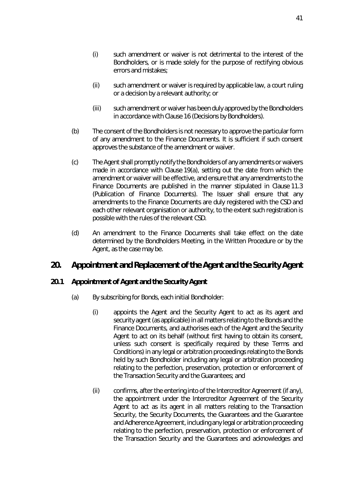- <span id="page-49-0"></span>(i) such amendment or waiver is not detrimental to the interest of the Bondholders, or is made solely for the purpose of rectifying obvious errors and mistakes;
- <span id="page-49-1"></span>(ii) such amendment or waiver is required by applicable law, a court ruling or a decision by a relevant authority; or
- (iii) such amendment or waiver has been duly approved by the Bondholders in accordance with Clause [16](#page-44-0) (*[Decisions by Bondholders](#page-44-0)*).
- (b) The consent of the Bondholders is not necessary to approve the particular form of any amendment to the Finance Documents. It is sufficient if such consent approves the substance of the amendment or waiver.
- <span id="page-49-3"></span>(c) The Agent shall promptly notify the Bondholders of any amendments or waivers made in accordance with Claus[e 19\(a\),](#page-48-2) setting out the date from which the amendment or waiver will be effective, and ensure that any amendments to the Finance Documents are published in the manner stipulated in Clause [11.3](#page-34-0)  (*[Publication of Finance Documents](#page-34-0)*). The Issuer shall ensure that any amendments to the Finance Documents are duly registered with the CSD and each other relevant organisation or authority, to the extent such registration is possible with the rules of the relevant CSD.
- (d) An amendment to the Finance Documents shall take effect on the date determined by the Bondholders Meeting, in the Written Procedure or by the Agent, as the case may be.

## **20. Appointment and Replacement of the Agent and the Security Agent**

### <span id="page-49-2"></span>**20.1 Appointment of Agent and the Security Agent**

- (a) By subscribing for Bonds, each initial Bondholder:
	- (i) appoints the Agent and the Security Agent to act as its agent and security agent (as applicable) in all matters relating to the Bonds and the Finance Documents, and authorises each of the Agent and the Security Agent to act on its behalf (without first having to obtain its consent, unless such consent is specifically required by these Terms and Conditions) in any legal or arbitration proceedings relating to the Bonds held by such Bondholder including any legal or arbitration proceeding relating to the perfection, preservation, protection or enforcement of the Transaction Security and the Guarantees; and
	- (ii) confirms, after the entering into of the Intercreditor Agreement (if any), the appointment under the Intercreditor Agreement of the Security Agent to act as its agent in all matters relating to the Transaction Security, the Security Documents, the Guarantees and the Guarantee and Adherence Agreement, including any legal or arbitration proceeding relating to the perfection, preservation, protection or enforcement of the Transaction Security and the Guarantees and acknowledges and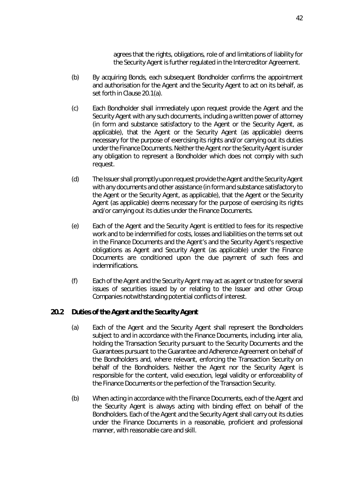agrees that the rights, obligations, role of and limitations of liability for the Security Agent is further regulated in the Intercreditor Agreement.

- (b) By acquiring Bonds, each subsequent Bondholder confirms the appointment and authorisation for the Agent and the Security Agent to act on its behalf, as set forth in Clause [20.1\(a\).](#page-49-2)
- <span id="page-50-0"></span>(c) Each Bondholder shall immediately upon request provide the Agent and the Security Agent with any such documents, including a written power of attorney (in form and substance satisfactory to the Agent or the Security Agent, as applicable), that the Agent or the Security Agent (as applicable) deems necessary for the purpose of exercising its rights and/or carrying out its duties under the Finance Documents. Neither the Agent nor the Security Agent is under any obligation to represent a Bondholder which does not comply with such request.
- (d) The Issuer shall promptly upon request provide the Agent and the Security Agent with any documents and other assistance (in form and substance satisfactory to the Agent or the Security Agent, as applicable), that the Agent or the Security Agent (as applicable) deems necessary for the purpose of exercising its rights and/or carrying out its duties under the Finance Documents.
- (e) Each of the Agent and the Security Agent is entitled to fees for its respective work and to be indemnified for costs, losses and liabilities on the terms set out in the Finance Documents and the Agent's and the Security Agent's respective obligations as Agent and Security Agent (as applicable) under the Finance Documents are conditioned upon the due payment of such fees and indemnifications.
- (f) Each of the Agent and the Security Agent may act as agent or trustee for several issues of securities issued by or relating to the Issuer and other Group Companies notwithstanding potential conflicts of interest.

### **20.2 Duties of the Agent and the Security Agent**

- (a) Each of the Agent and the Security Agent shall represent the Bondholders subject to and in accordance with the Finance Documents, including, *inter alia*, holding the Transaction Security pursuant to the Security Documents and the Guarantees pursuant to the Guarantee and Adherence Agreement on behalf of the Bondholders and, where relevant, enforcing the Transaction Security on behalf of the Bondholders. Neither the Agent nor the Security Agent is responsible for the content, valid execution, legal validity or enforceability of the Finance Documents or the perfection of the Transaction Security.
- (b) When acting in accordance with the Finance Documents, each of the Agent and the Security Agent is always acting with binding effect on behalf of the Bondholders. Each of the Agent and the Security Agent shall carry out its duties under the Finance Documents in a reasonable, proficient and professional manner, with reasonable care and skill.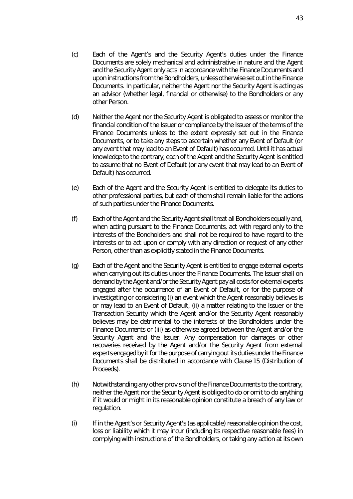- (c) Each of the Agent's and the Security Agent's duties under the Finance Documents are solely mechanical and administrative in nature and the Agent and the Security Agent only acts in accordance with the Finance Documents and upon instructions from the Bondholders, unless otherwise set out in the Finance Documents. In particular, neither the Agent nor the Security Agent is acting as an advisor (whether legal, financial or otherwise) to the Bondholders or any other Person.
- (d) Neither the Agent nor the Security Agent is obligated to assess or monitor the financial condition of the Issuer or compliance by the Issuer of the terms of the Finance Documents unless to the extent expressly set out in the Finance Documents, or to take any steps to ascertain whether any Event of Default (or any event that may lead to an Event of Default) has occurred. Until it has actual knowledge to the contrary, each of the Agent and the Security Agent is entitled to assume that no Event of Default (or any event that may lead to an Event of Default) has occurred.
- (e) Each of the Agent and the Security Agent is entitled to delegate its duties to other professional parties, but each of them shall remain liable for the actions of such parties under the Finance Documents.
- (f) Each of the Agent and the Security Agent shall treat all Bondholders equally and, when acting pursuant to the Finance Documents, act with regard only to the interests of the Bondholders and shall not be required to have regard to the interests or to act upon or comply with any direction or request of any other Person, other than as explicitly stated in the Finance Documents.
- <span id="page-51-0"></span>(g) Each of the Agent and the Security Agent is entitled to engage external experts when carrying out its duties under the Finance Documents. The Issuer shall on demand by the Agent and/or the Security Agent pay all costs for external experts engaged after the occurrence of an Event of Default, or for the purpose of investigating or considering (i) an event which the Agent reasonably believes is or may lead to an Event of Default, (ii) a matter relating to the Issuer or the Transaction Security which the Agent and/or the Security Agent reasonably believes may be detrimental to the interests of the Bondholders under the Finance Documents or (iii) as otherwise agreed between the Agent and/or the Security Agent and the Issuer. Any compensation for damages or other recoveries received by the Agent and/or the Security Agent from external experts engaged by it for the purpose of carrying out its duties under the Finance Documents shall be distributed in accordance with Claus[e 15](#page-43-2) (*[Distribution of](#page-43-2)  [Proceeds](#page-43-2)*).
- (h) Notwithstanding any other provision of the Finance Documents to the contrary, neither the Agent nor the Security Agent is obliged to do or omit to do anything if it would or might in its reasonable opinion constitute a breach of any law or regulation.
- <span id="page-51-1"></span>(i) If in the Agent's or Security Agent's (as applicable) reasonable opinion the cost, loss or liability which it may incur (including its respective reasonable fees) in complying with instructions of the Bondholders, or taking any action at its own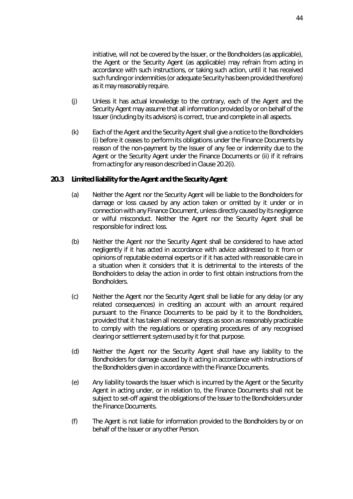initiative, will not be covered by the Issuer, or the Bondholders (as applicable), the Agent or the Security Agent (as applicable) may refrain from acting in accordance with such instructions, or taking such action, until it has received such funding or indemnities (or adequate Security has been provided therefore) as it may reasonably require.

- (j) Unless it has actual knowledge to the contrary, each of the Agent and the Security Agent may assume that all information provided by or on behalf of the Issuer (including by its advisors) is correct, true and complete in all aspects.
- <span id="page-52-0"></span>(k) Each of the Agent and the Security Agent shall give a notice to the Bondholders (i) before it ceases to perform its obligations under the Finance Documents by reason of the non-payment by the Issuer of any fee or indemnity due to the Agent or the Security Agent under the Finance Documents or (ii) if it refrains from acting for any reason described in Clause [20.2\(i\).](#page-51-1)

#### **20.3 Limited liability for the Agent and the Security Agent**

- (a) Neither the Agent nor the Security Agent will be liable to the Bondholders for damage or loss caused by any action taken or omitted by it under or in connection with any Finance Document, unless directly caused by its negligence or wilful misconduct. Neither the Agent nor the Security Agent shall be responsible for indirect loss.
- (b) Neither the Agent nor the Security Agent shall be considered to have acted negligently if it has acted in accordance with advice addressed to it from or opinions of reputable external experts or if it has acted with reasonable care in a situation when it considers that it is detrimental to the interests of the Bondholders to delay the action in order to first obtain instructions from the **Bondholders**
- (c) Neither the Agent nor the Security Agent shall be liable for any delay (or any related consequences) in crediting an account with an amount required pursuant to the Finance Documents to be paid by it to the Bondholders, provided that it has taken all necessary steps as soon as reasonably practicable to comply with the regulations or operating procedures of any recognised clearing or settlement system used by it for that purpose.
- (d) Neither the Agent nor the Security Agent shall have any liability to the Bondholders for damage caused by it acting in accordance with instructions of the Bondholders given in accordance with the Finance Documents.
- (e) Any liability towards the Issuer which is incurred by the Agent or the Security Agent in acting under, or in relation to, the Finance Documents shall not be subject to set-off against the obligations of the Issuer to the Bondholders under the Finance Documents.
- (f) The Agent is not liable for information provided to the Bondholders by or on behalf of the Issuer or any other Person.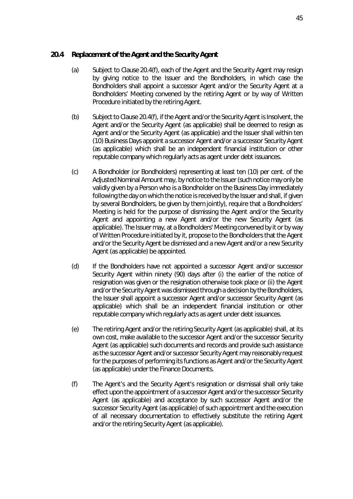### <span id="page-53-2"></span>**20.4 Replacement of the Agent and the Security Agent**

- (a) Subject to Clause [20.4\(f\),](#page-53-1) each of the Agent and the Security Agent may resign by giving notice to the Issuer and the Bondholders, in which case the Bondholders shall appoint a successor Agent and/or the Security Agent at a Bondholders' Meeting convened by the retiring Agent or by way of Written Procedure initiated by the retiring Agent.
- (b) Subject to Claus[e 20.4\(f\),](#page-53-1) if the Agent and/or the Security Agent is Insolvent, the Agent and/or the Security Agent (as applicable) shall be deemed to resign as Agent and/or the Security Agent (as applicable) and the Issuer shall within ten (10) Business Days appoint a successor Agent and/or a successor Security Agent (as applicable) which shall be an independent financial institution or other reputable company which regularly acts as agent under debt issuances.
- <span id="page-53-0"></span>(c) A Bondholder (or Bondholders) representing at least ten (10) per cent. of the Adjusted Nominal Amount may, by notice to the Issuer (such notice may only be validly given by a Person who is a Bondholder on the Business Day immediately following the day on which the notice is received by the Issuer and shall, if given by several Bondholders, be given by them jointly), require that a Bondholders' Meeting is held for the purpose of dismissing the Agent and/or the Security Agent and appointing a new Agent and/or the new Security Agent (as applicable). The Issuer may, at a Bondholders' Meeting convened by it or by way of Written Procedure initiated by it, propose to the Bondholders that the Agent and/or the Security Agent be dismissed and a new Agent and/or a new Security Agent (as applicable) be appointed.
- (d) If the Bondholders have not appointed a successor Agent and/or successor Security Agent within ninety (90) days after (i) the earlier of the notice of resignation was given or the resignation otherwise took place or (ii) the Agent and/or the Security Agent was dismissed through a decision by the Bondholders, the Issuer shall appoint a successor Agent and/or successor Security Agent (as applicable) which shall be an independent financial institution or other reputable company which regularly acts as agent under debt issuances.
- (e) The retiring Agent and/or the retiring Security Agent (as applicable) shall, at its own cost, make available to the successor Agent and/or the successor Security Agent (as applicable) such documents and records and provide such assistance as the successor Agent and/or successor Security Agent may reasonably request for the purposes of performing its functions as Agent and/or the Security Agent (as applicable) under the Finance Documents.
- <span id="page-53-1"></span>(f) The Agent's and the Security Agent's resignation or dismissal shall only take effect upon the appointment of a successor Agent and/or the successor Security Agent (as applicable) and acceptance by such successor Agent and/or the successor Security Agent (as applicable) of such appointment and the execution of all necessary documentation to effectively substitute the retiring Agent and/or the retiring Security Agent (as applicable).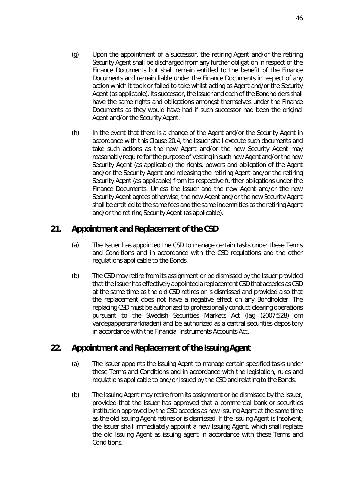- (g) Upon the appointment of a successor, the retiring Agent and/or the retiring Security Agent shall be discharged from any further obligation in respect of the Finance Documents but shall remain entitled to the benefit of the Finance Documents and remain liable under the Finance Documents in respect of any action which it took or failed to take whilst acting as Agent and/or the Security Agent (as applicable). Its successor, the Issuer and each of the Bondholders shall have the same rights and obligations amongst themselves under the Finance Documents as they would have had if such successor had been the original Agent and/or the Security Agent.
- (h) In the event that there is a change of the Agent and/or the Security Agent in accordance with this Claus[e 20.4,](#page-53-2) the Issuer shall execute such documents and take such actions as the new Agent and/or the new Security Agent may reasonably require for the purpose of vesting in such new Agent and/or the new Security Agent (as applicable) the rights, powers and obligation of the Agent and/or the Security Agent and releasing the retiring Agent and/or the retiring Security Agent (as applicable) from its respective further obligations under the Finance Documents. Unless the Issuer and the new Agent and/or the new Security Agent agrees otherwise, the new Agent and/or the new Security Agent shall be entitled to the same fees and the same indemnities as the retiring Agent and/or the retiring Security Agent (as applicable).

# **21. Appointment and Replacement of the CSD**

- (a) The Issuer has appointed the CSD to manage certain tasks under these Terms and Conditions and in accordance with the CSD regulations and the other regulations applicable to the Bonds.
- (b) The CSD may retire from its assignment or be dismissed by the Issuer provided that the Issuer has effectively appointed a replacement CSD that accedes as CSD at the same time as the old CSD retires or is dismissed and provided also that the replacement does not have a negative effect on any Bondholder. The replacing CSD must be authorized to professionally conduct clearing operations pursuant to the Swedish Securities Markets Act (*lag (2007:528) om värdepappersmarknaden*) and be authorized as a central securities depository in accordance with the Financial Instruments Accounts Act.

# **22. Appointment and Replacement of the Issuing Agent**

- (a) The Issuer appoints the Issuing Agent to manage certain specified tasks under these Terms and Conditions and in accordance with the legislation, rules and regulations applicable to and/or issued by the CSD and relating to the Bonds.
- (b) The Issuing Agent may retire from its assignment or be dismissed by the Issuer, provided that the Issuer has approved that a commercial bank or securities institution approved by the CSD accedes as new Issuing Agent at the same time as the old Issuing Agent retires or is dismissed. If the Issuing Agent is Insolvent, the Issuer shall immediately appoint a new Issuing Agent, which shall replace the old Issuing Agent as issuing agent in accordance with these Terms and Conditions.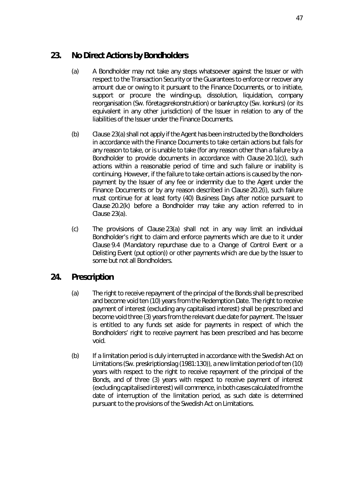## <span id="page-55-0"></span>**23. No Direct Actions by Bondholders**

- (a) A Bondholder may not take any steps whatsoever against the Issuer or with respect to the Transaction Security or the Guarantees to enforce or recover any amount due or owing to it pursuant to the Finance Documents, or to initiate, support or procure the winding-up, dissolution, liquidation, company reorganisation (Sw. *företagsrekonstruktion*) or bankruptcy (Sw. *konkurs*) (or its equivalent in any other jurisdiction) of the Issuer in relation to any of the liabilities of the Issuer under the Finance Documents.
- (b) Claus[e 23\(a\)](#page-55-0) shall not apply if the Agent has been instructed by the Bondholders in accordance with the Finance Documents to take certain actions but fails for any reason to take, or is unable to take (for any reason other than a failure by a Bondholder to provide documents in accordance with Clause [20.1\(c\)\)](#page-50-0), such actions within a reasonable period of time and such failure or inability is continuing. However, if the failure to take certain actions is caused by the nonpayment by the Issuer of any fee or indemnity due to the Agent under the Finance Documents or by any reason described in Clause [20.2\(i\),](#page-51-1) such failure must continue for at least forty (40) Business Days after notice pursuant to Claus[e 20.2\(k\)](#page-52-0) before a Bondholder may take any action referred to in Claus[e 23\(a\).](#page-55-0)
- (c) The provisions of Claus[e 23\(a\)](#page-55-0) shall not in any way limit an individual Bondholder's right to claim and enforce payments which are due to it under Claus[e 9.4](#page-30-1) (*[Mandatory repurchase due to a Change of Control Event or a](#page-30-1)  [Delisting Event \(put option\)](#page-30-1)*) or other payments which are due by the Issuer to some but not all Bondholders.

## **24. Prescription**

- (a) The right to receive repayment of the principal of the Bonds shall be prescribed and become void ten (10) years from the Redemption Date. The right to receive payment of interest (excluding any capitalised interest) shall be prescribed and become void three (3) years from the relevant due date for payment. The Issuer is entitled to any funds set aside for payments in respect of which the Bondholders' right to receive payment has been prescribed and has become void.
- (b) If a limitation period is duly interrupted in accordance with the Swedish Act on Limitations (Sw. *preskriptionslag (1981:130)*), a new limitation period of ten (10) years with respect to the right to receive repayment of the principal of the Bonds, and of three (3) years with respect to receive payment of interest (excluding capitalised interest) will commence, in both cases calculated from the date of interruption of the limitation period, as such date is determined pursuant to the provisions of the Swedish Act on Limitations.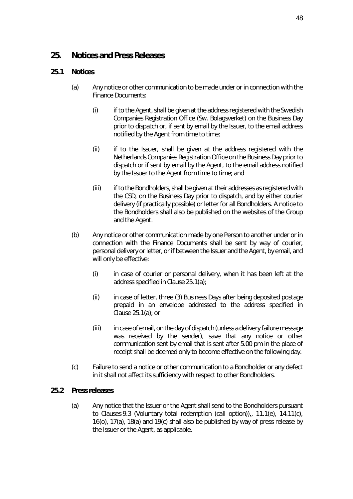## **25. Notices and Press Releases**

### <span id="page-56-0"></span>**25.1 Notices**

- (a) Any notice or other communication to be made under or in connection with the Finance Documents:
	- (i) if to the Agent, shall be given at the address registered with the Swedish Companies Registration Office (Sw. *Bolagsverket*) on the Business Day prior to dispatch or, if sent by email by the Issuer, to the email address notified by the Agent from time to time;
	- (ii) if to the Issuer, shall be given at the address registered with the Netherlands Companies Registration Office on the Business Day prior to dispatch or if sent by email by the Agent, to the email address notified by the Issuer to the Agent from time to time; and
	- (iii) if to the Bondholders, shall be given at their addresses as registered with the CSD, on the Business Day prior to dispatch, and by either courier delivery (if practically possible) or letter for all Bondholders. A notice to the Bondholders shall also be published on the websites of the Group and the Agent.
- (b) Any notice or other communication made by one Person to another under or in connection with the Finance Documents shall be sent by way of courier, personal delivery or letter, or if between the Issuer and the Agent, by email, and will only be effective:
	- (i) in case of courier or personal delivery, when it has been left at the address specified in Claus[e 25.1\(a\);](#page-56-0)
	- (ii) in case of letter, three (3) Business Days after being deposited postage prepaid in an envelope addressed to the address specified in Clause  $25.1(a)$ ; or
	- (iii) in case of email, on the day of dispatch (unless a delivery failure message was received by the sender), save that any notice or other communication sent by email that is sent after 5.00 pm in the place of receipt shall be deemed only to become effective on the following day.
- (c) Failure to send a notice or other communication to a Bondholder or any defect in it shall not affect its sufficiency with respect to other Bondholders.

### <span id="page-56-1"></span>**25.2 Press releases**

(a) Any notice that the Issuer or the Agent shall send to the Bondholders pursuant to Clause[s 9.3](#page-30-2) (*[Voluntary total redemption \(call option\)](#page-30-2)*)*,*, [11.1\(e\),](#page-33-0) [14.11\(c\),](#page-42-3) [16\(o\),](#page-47-2) [17\(a\),](#page-47-1) [18\(a\)](#page-48-1) and [19\(c\)](#page-49-3) shall also be published by way of press release by the Issuer or the Agent, as applicable.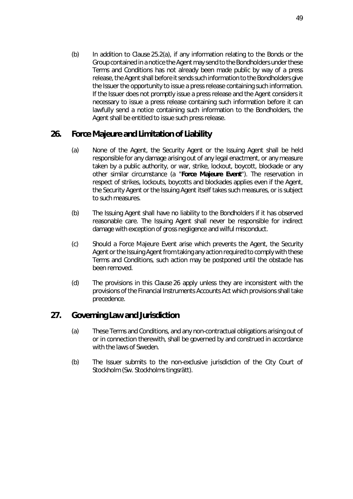(b) In addition to Claus[e 25.2\(a\),](#page-56-1) if any information relating to the Bonds or the Group contained in a notice the Agent may send to the Bondholders under these Terms and Conditions has not already been made public by way of a press release, the Agent shall before it sends such information to the Bondholders give the Issuer the opportunity to issue a press release containing such information. If the Issuer does not promptly issue a press release and the Agent considers it necessary to issue a press release containing such information before it can lawfully send a notice containing such information to the Bondholders, the Agent shall be entitled to issue such press release.

# <span id="page-57-0"></span>**26. Force Majeure and Limitation of Liability**

- (a) None of the Agent, the Security Agent or the Issuing Agent shall be held responsible for any damage arising out of any legal enactment, or any measure taken by a public authority, or war, strike, lockout, boycott, blockade or any other similar circumstance (a "**Force Majeure Event**"). The reservation in respect of strikes, lockouts, boycotts and blockades applies even if the Agent, the Security Agent or the Issuing Agent itself takes such measures, or is subject to such measures.
- (b) The Issuing Agent shall have no liability to the Bondholders if it has observed reasonable care. The Issuing Agent shall never be responsible for indirect damage with exception of gross negligence and wilful misconduct.
- (c) Should a Force Majeure Event arise which prevents the Agent, the Security Agent or the Issuing Agent from taking any action required to comply with these Terms and Conditions, such action may be postponed until the obstacle has been removed.
- (d) The provisions in this Clause [26](#page-57-0) apply unless they are inconsistent with the provisions of the Financial Instruments Accounts Act which provisions shall take precedence.

# **27. Governing Law and Jurisdiction**

- (a) These Terms and Conditions, and any non-contractual obligations arising out of or in connection therewith, shall be governed by and construed in accordance with the laws of Sweden.
- (b) The Issuer submits to the non-exclusive jurisdiction of the City Court of Stockholm (Sw. *Stockholms tingsrätt*).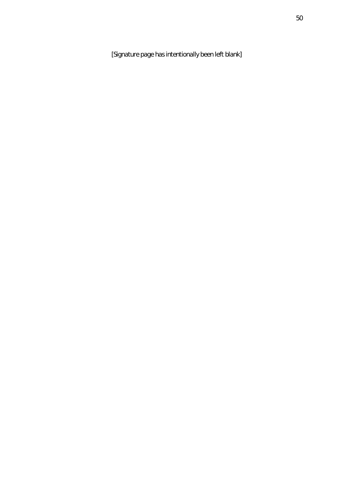[*Signature page has intentionally been left blank*]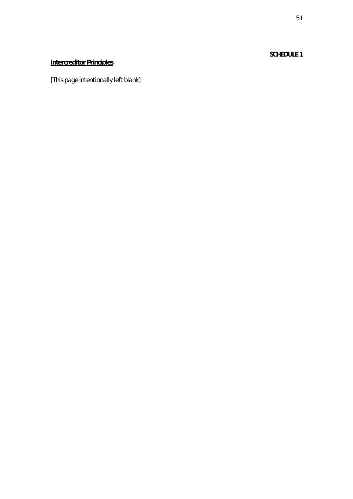### **SCHEDULE 1**

# **Intercreditor Principles**

[*This page intentionally left blank*]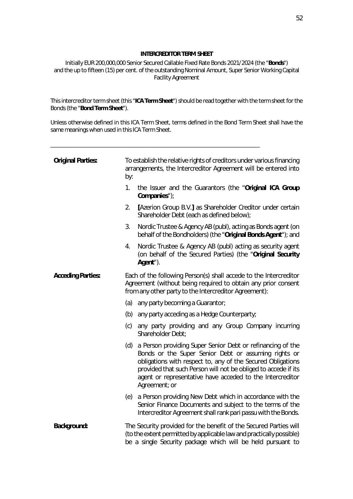#### **INTERCREDITOR TERM SHEET**

Initially EUR 200,000,000 Senior Secured Callable Fixed Rate Bonds 2021/2024 (the "**Bonds**") and the up to fifteen (15) per cent. of the outstanding Nominal Amount, Super Senior Working Capital Facility Agreement

This intercreditor term sheet (this "**ICA Term Sheet**") should be read together with the term sheet for the Bonds (the "**Bond Term Sheet**").

Unless otherwise defined in this ICA Term Sheet, terms defined in the Bond Term Sheet shall have the same meanings when used in this ICA Term Sheet.

\_\_\_\_\_\_\_\_\_\_\_\_\_\_\_\_\_\_\_\_\_\_\_\_\_\_\_\_\_\_\_\_\_\_\_\_\_\_\_\_\_\_\_\_\_\_\_\_\_\_\_\_\_\_\_\_\_\_\_\_\_\_\_\_\_\_\_\_\_\_\_

| <b>Original Parties:</b> | by:                                                                                                                                                                                         | To establish the relative rights of creditors under various financing<br>arrangements, the Intercreditor Agreement will be entered into                                                                                                                                                                                           |  |
|--------------------------|---------------------------------------------------------------------------------------------------------------------------------------------------------------------------------------------|-----------------------------------------------------------------------------------------------------------------------------------------------------------------------------------------------------------------------------------------------------------------------------------------------------------------------------------|--|
|                          | 1.                                                                                                                                                                                          | the Issuer and the Guarantors (the "Original ICA Group<br>Companies");                                                                                                                                                                                                                                                            |  |
|                          | 2.                                                                                                                                                                                          | [Azerion Group B.V.] as Shareholder Creditor under certain<br>Shareholder Debt (each as defined below);                                                                                                                                                                                                                           |  |
|                          | 3.                                                                                                                                                                                          | Nordic Trustee & Agency AB (publ), acting as Bonds agent (on<br>behalf of the Bondholders) (the "Original Bonds Agent"); and                                                                                                                                                                                                      |  |
|                          | 4.                                                                                                                                                                                          | Nordic Trustee & Agency AB (publ) acting as security agent<br>(on behalf of the Secured Parties) (the "Original Security<br>Agent").                                                                                                                                                                                              |  |
| <b>Acceding Parties:</b> | Each of the following Person(s) shall accede to the Intercreditor<br>Agreement (without being required to obtain any prior consent<br>from any other party to the Intercreditor Agreement): |                                                                                                                                                                                                                                                                                                                                   |  |
|                          |                                                                                                                                                                                             | (a) any party becoming a Guarantor;                                                                                                                                                                                                                                                                                               |  |
|                          |                                                                                                                                                                                             | (b) any party acceding as a Hedge Counterparty;                                                                                                                                                                                                                                                                                   |  |
|                          | (c)                                                                                                                                                                                         | any party providing and any Group Company incurring<br>Shareholder Debt;                                                                                                                                                                                                                                                          |  |
|                          | (d)                                                                                                                                                                                         | a Person providing Super Senior Debt or refinancing of the<br>Bonds or the Super Senior Debt or assuming rights or<br>obligations with respect to, any of the Secured Obligations<br>provided that such Person will not be obliged to accede if its<br>agent or representative have acceded to the Intercreditor<br>Agreement; or |  |
|                          |                                                                                                                                                                                             | (e) a Person providing New Debt which in accordance with the<br>Senior Finance Documents and subject to the terms of the<br>Intercreditor Agreement shall rank pari passu with the Bonds.                                                                                                                                         |  |
| <b>Background:</b>       |                                                                                                                                                                                             | The Security provided for the benefit of the Secured Parties will<br>(to the extent permitted by applicable law and practically possible)<br>be a single Security package which will be held pursuant to                                                                                                                          |  |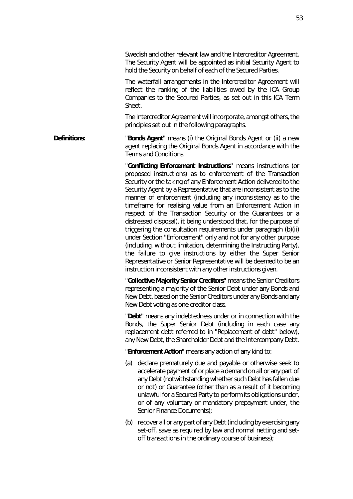Swedish and other relevant law and the Intercreditor Agreement. The Security Agent will be appointed as initial Security Agent to hold the Security on behalf of each of the Secured Parties.

The waterfall arrangements in the Intercreditor Agreement will reflect the ranking of the liabilities owed by the ICA Group Companies to the Secured Parties, as set out in this ICA Term **Sheet** 

The Intercreditor Agreement will incorporate, amongst others, the principles set out in the following paragraphs.

**Definitions:** "Bonds Agent" means (i) the Original Bonds Agent or (ii) a new agent replacing the Original Bonds Agent in accordance with the Terms and Conditions.

> "**Conflicting Enforcement Instructions**" means instructions (or proposed instructions) as to enforcement of the Transaction Security or the taking of any Enforcement Action delivered to the Security Agent by a Representative that are inconsistent as to the manner of enforcement (including any inconsistency as to the timeframe for realising value from an Enforcement Action in respect of the Transaction Security or the Guarantees or a distressed disposal), it being understood that, for the purpose of triggering the consultation requirements under paragraph [\(b\)](#page-73-0)[\(ii\)](#page-73-1)  under Section "Enforcement" only and not for any other purpose (including, without limitation, determining the Instructing Party), the failure to give instructions by either the Super Senior Representative or Senior Representative will be deemed to be an instruction inconsistent with any other instructions given.

> "**Collective Majority Senior Creditors**" means the Senior Creditors representing a majority of the Senior Debt under any Bonds and New Debt, based on the Senior Creditors under any Bonds and any New Debt voting as one creditor class.

> "**Debt**" means any indebtedness under or in connection with the Bonds, the Super Senior Debt (including in each case any replacement debt referred to in "Replacement of debt" below), any New Debt, the Shareholder Debt and the Intercompany Debt.

"**Enforcement Action**" means any action of any kind to:

- (a) declare prematurely due and payable or otherwise seek to accelerate payment of or place a demand on all or any part of any Debt (notwithstanding whether such Debt has fallen due or not) or Guarantee (other than as a result of it becoming unlawful for a Secured Party to perform its obligations under, or of any voluntary or mandatory prepayment under, the Senior Finance Documents);
- (b) recover all or any part of any Debt (including by exercising any set-off, save as required by law and normal netting and setoff transactions in the ordinary course of business);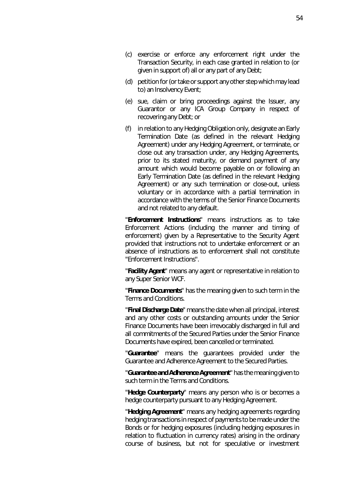- (c) exercise or enforce any enforcement right under the Transaction Security, in each case granted in relation to (or given in support of) all or any part of any Debt;
- (d) petition for (or take or support any other step which may lead to) an Insolvency Event;
- (e) sue, claim or bring proceedings against the Issuer, any Guarantor or any ICA Group Company in respect of recovering any Debt; or
- (f) in relation to any Hedging Obligation only, designate an Early Termination Date (as defined in the relevant Hedging Agreement) under any Hedging Agreement, or terminate, or close out any transaction under, any Hedging Agreements, prior to its stated maturity, or demand payment of any amount which would become payable on or following an Early Termination Date (as defined in the relevant Hedging Agreement) or any such termination or close-out, unless voluntary or in accordance with a partial termination in accordance with the terms of the Senior Finance Documents and not related to any default.

"**Enforcement Instructions**" means instructions as to take Enforcement Actions (including the manner and timing of enforcement) given by a Representative to the Security Agent provided that instructions not to undertake enforcement or an absence of instructions as to enforcement shall not constitute "Enforcement Instructions".

"**Facility Agent**" means any agent or representative in relation to any Super Senior WCF.

"**Finance Documents**" has the meaning given to such term in the Terms and Conditions.

"**Final Discharge Date**" means the date when all principal, interest and any other costs or outstanding amounts under the Senior Finance Documents have been irrevocably discharged in full and all commitments of the Secured Parties under the Senior Finance Documents have expired, been cancelled or terminated.

"**Guarantee**" means the guarantees provided under the Guarantee and Adherence Agreement to the Secured Parties.

"**Guarantee and Adherence Agreement**" has the meaning given to such term in the Terms and Conditions.

"**Hedge Counterparty**" means any person who is or becomes a hedge counterparty pursuant to any Hedging Agreement.

"**Hedging Agreement**" means any hedging agreements regarding hedging transactions in respect of payments to be made under the Bonds or for hedging exposures (including hedging exposures in relation to fluctuation in currency rates) arising in the ordinary course of business, but not for speculative or investment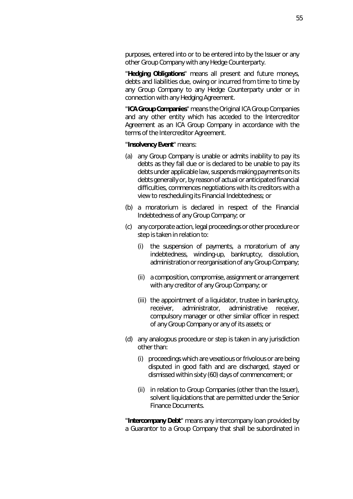purposes, entered into or to be entered into by the Issuer or any other Group Company with any Hedge Counterparty.

"**Hedging Obligations**" means all present and future moneys, debts and liabilities due, owing or incurred from time to time by any Group Company to any Hedge Counterparty under or in connection with any Hedging Agreement.

"**ICA Group Companies**" means the Original ICA Group Companies and any other entity which has acceded to the Intercreditor Agreement as an ICA Group Company in accordance with the terms of the Intercreditor Agreement.

#### "**Insolvency Event**" means:

- (a) any Group Company is unable or admits inability to pay its debts as they fall due or is declared to be unable to pay its debts under applicable law, suspends making payments on its debts generally or, by reason of actual or anticipated financial difficulties, commences negotiations with its creditors with a view to rescheduling its Financial Indebtedness; or
- (b) a moratorium is declared in respect of the Financial Indebtedness of any Group Company; or
- (c) any corporate action, legal proceedings or other procedure or step is taken in relation to:
	- (i) the suspension of payments, a moratorium of any indebtedness, winding-up, bankruptcy, dissolution, administration or reorganisation of any Group Company;
	- (ii) a composition, compromise, assignment or arrangement with any creditor of any Group Company; or
	- (iii) the appointment of a liquidator, trustee in bankruptcy, receiver, administrator, administrative receiver, compulsory manager or other similar officer in respect of any Group Company or any of its assets; or
- (d) any analogous procedure or step is taken in any jurisdiction other than:
	- (i) proceedings which are vexatious or frivolous or are being disputed in good faith and are discharged, stayed or dismissed within sixty (60) days of commencement; or
	- (ii) in relation to Group Companies (other than the Issuer), solvent liquidations that are permitted under the Senior Finance Documents.

"**Intercompany Debt**" means any intercompany loan provided by a Guarantor to a Group Company that shall be subordinated in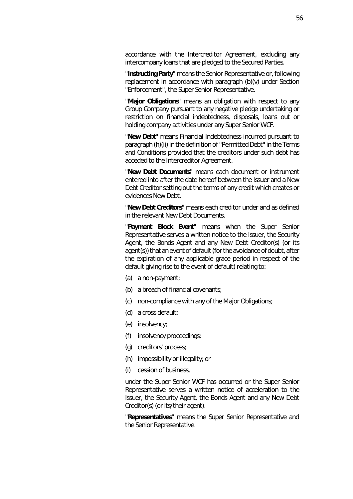accordance with the Intercreditor Agreement, excluding any intercompany loans that are pledged to the Secured Parties.

"**Instructing Party**" means the Senior Representative or, following replacement in accordance with paragraph [\(b\)](#page-73-0)[\(v\)](#page-74-0) under Section "Enforcement", the Super Senior Representative.

"**Major Obligations**" means an obligation with respect to any Group Company pursuant to any negative pledge undertaking or restriction on financial indebtedness, disposals, loans out or holding company activities under any Super Senior WCF.

"**New Debt**" means Financial Indebtedness incurred pursuant to paragraph (h)(ii) in the definition of "Permitted Debt" in the Terms and Conditions provided that the creditors under such debt has acceded to the Intercreditor Agreement.

"**New Debt Documents**" means each document or instrument entered into after the date hereof between the Issuer and a New Debt Creditor setting out the terms of any credit which creates or evidences New Debt.

"**New Debt Creditors**" means each creditor under and as defined in the relevant New Debt Documents.

"**Payment Block Event**" means when the Super Senior Representative serves a written notice to the Issuer, the Security Agent, the Bonds Agent and any New Debt Creditor(s) (or its agent(s)) that an event of default (for the avoidance of doubt, after the expiration of any applicable grace period in respect of the default giving rise to the event of default) relating to:

- (a) a non-payment;
- (b) a breach of financial covenants;
- (c) non-compliance with any of the Major Obligations;
- (d) a cross default;
- (e) insolvency;
- (f) insolvency proceedings;
- (g) creditors' process;
- (h) impossibility or illegality; or
- (i) cession of business,

under the Super Senior WCF has occurred or the Super Senior Representative serves a written notice of acceleration to the Issuer, the Security Agent, the Bonds Agent and any New Debt Creditor(s) (or its/their agent).

"**Representatives**" means the Super Senior Representative and the Senior Representative.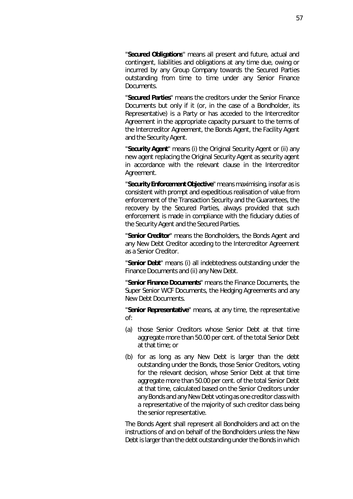"**Secured Obligations**" means all present and future, actual and contingent, liabilities and obligations at any time due, owing or incurred by any Group Company towards the Secured Parties outstanding from time to time under any Senior Finance Documents.

"**Secured Parties**" means the creditors under the Senior Finance Documents but only if it (or, in the case of a Bondholder, its Representative) is a Party or has acceded to the Intercreditor Agreement in the appropriate capacity pursuant to the terms of the Intercreditor Agreement, the Bonds Agent, the Facility Agent and the Security Agent.

"**Security Agent**" means (i) the Original Security Agent or (ii) any new agent replacing the Original Security Agent as security agent in accordance with the relevant clause in the Intercreditor Agreement.

"**Security Enforcement Objective**" means maximising, insofar as is consistent with prompt and expeditious realisation of value from enforcement of the Transaction Security and the Guarantees, the recovery by the Secured Parties, always provided that such enforcement is made in compliance with the fiduciary duties of the Security Agent and the Secured Parties.

"**Senior Creditor**" means the Bondholders, the Bonds Agent and any New Debt Creditor acceding to the Intercreditor Agreement as a Senior Creditor.

"**Senior Debt**" means (i) all indebtedness outstanding under the Finance Documents and (ii) any New Debt.

"**Senior Finance Documents**" means the Finance Documents, the Super Senior WCF Documents, the Hedging Agreements and any New Debt Documents.

"**Senior Representative**" means, at any time, the representative of:

- (a) those Senior Creditors whose Senior Debt at that time aggregate more than 50.00 per cent. of the total Senior Debt at that time; or
- (b) for as long as any New Debt is larger than the debt outstanding under the Bonds, those Senior Creditors, voting for the relevant decision, whose Senior Debt at that time aggregate more than 50.00 per cent. of the total Senior Debt at that time, calculated based on the Senior Creditors under any Bonds and any New Debt voting as one creditor class with a representative of the majority of such creditor class being the senior representative.

The Bonds Agent shall represent all Bondholders and act on the instructions of and on behalf of the Bondholders unless the New Debt is larger than the debt outstanding under the Bonds in which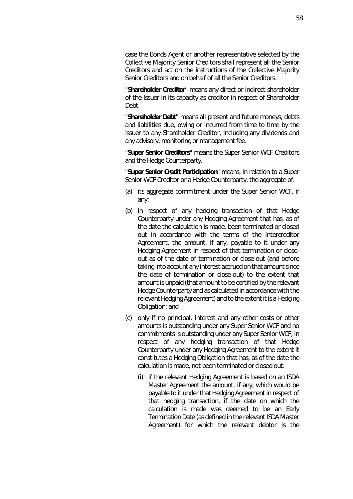case the Bonds Agent or another representative selected by the Collective Majority Senior Creditors shall represent all the Senior Creditors and act on the instructions of the Collective Majority Senior Creditors and on behalf of all the Senior Creditors.

"**Shareholder Creditor**" means any direct or indirect shareholder of the Issuer in its capacity as creditor in respect of Shareholder Debt.

"**Shareholder Debt**" means all present and future moneys, debts and liabilities due, owing or incurred from time to time by the Issuer to any Shareholder Creditor, including any dividends and any advisory, monitoring or management fee.

"**Super Senior Creditors**" means the Super Senior WCF Creditors and the Hedge Counterparty.

"**Super Senior Credit Participation**" means, in relation to a Super Senior WCF Creditor or a Hedge Counterparty, the aggregate of:

- (a) its aggregate commitment under the Super Senior WCF, if any;
- (b) in respect of any hedging transaction of that Hedge Counterparty under any Hedging Agreement that has, as of the date the calculation is made, been terminated or closed out in accordance with the terms of the Intercreditor Agreement, the amount, if any, payable to it under any Hedging Agreement in respect of that termination or closeout as of the date of termination or close-out (and before taking into account any interest accrued on that amount since the date of termination or close-out) to the extent that amount is unpaid (that amount to be certified by the relevant Hedge Counterparty and as calculated in accordance with the relevant Hedging Agreement) and to the extent it is a Hedging Obligation; and
- (c) only if no principal, interest and any other costs or other amounts is outstanding under any Super Senior WCF and no commitments is outstanding under any Super Senior WCF, in respect of any hedging transaction of that Hedge Counterparty under any Hedging Agreement to the extent it constitutes a Hedging Obligation that has, as of the date the calculation is made, not been terminated or closed out:
	- (i) if the relevant Hedging Agreement is based on an ISDA Master Agreement the amount, if any, which would be payable to it under that Hedging Agreement in respect of that hedging transaction, if the date on which the calculation is made was deemed to be an Early Termination Date (as defined in the relevant ISDA Master Agreement) for which the relevant debtor is the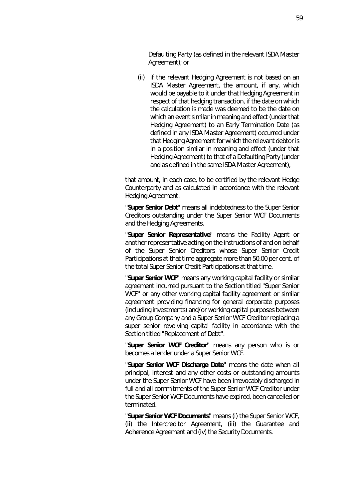Defaulting Party (as defined in the relevant ISDA Master Agreement); or

(ii) if the relevant Hedging Agreement is not based on an ISDA Master Agreement, the amount, if any, which would be payable to it under that Hedging Agreement in respect of that hedging transaction, if the date on which the calculation is made was deemed to be the date on which an event similar in meaning and effect (under that Hedging Agreement) to an Early Termination Date (as defined in any ISDA Master Agreement) occurred under that Hedging Agreement for which the relevant debtor is in a position similar in meaning and effect (under that Hedging Agreement) to that of a Defaulting Party (under and as defined in the same ISDA Master Agreement),

that amount, in each case, to be certified by the relevant Hedge Counterparty and as calculated in accordance with the relevant Hedging Agreement.

"**Super Senior Debt**" means all indebtedness to the Super Senior Creditors outstanding under the Super Senior WCF Documents and the Hedging Agreements.

"**Super Senior Representative**" means the Facility Agent or another representative acting on the instructions of and on behalf of the Super Senior Creditors whose Super Senior Credit Participations at that time aggregate more than 50.00 per cent. of the total Super Senior Credit Participations at that time.

"**Super Senior WCF**" means any working capital facility or similar agreement incurred pursuant to the Section titled "Super Senior WCF" or any other working capital facility agreement or similar agreement providing financing for general corporate purposes (including investments) and/or working capital purposes between any Group Company and a Super Senior WCF Creditor replacing a super senior revolving capital facility in accordance with the Section titled "Replacement of Debt".

"**Super Senior WCF Creditor**" means any person who is or becomes a lender under a Super Senior WCF.

"**Super Senior WCF Discharge Date**" means the date when all principal, interest and any other costs or outstanding amounts under the Super Senior WCF have been irrevocably discharged in full and all commitments of the Super Senior WCF Creditor under the Super Senior WCF Documents have expired, been cancelled or terminated.

"**Super Senior WCF Documents**" means (i) the Super Senior WCF, (ii) the Intercreditor Agreement, (iii) the Guarantee and Adherence Agreement and (iv) the Security Documents.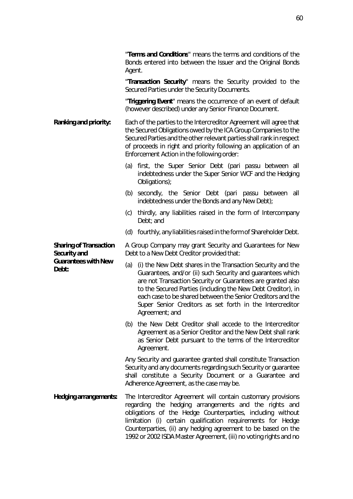"**Terms and Conditions**" means the terms and conditions of the Bonds entered into between the Issuer and the Original Bonds Agent.

"**Transaction Security**" means the Security provided to the Secured Parties under the Security Documents.

"**Triggering Event**" means the occurrence of an event of default (however described) under any Senior Finance Document.

- **Ranking and priority:** Each of the parties to the Intercreditor Agreement will agree that the Secured Obligations owed by the ICA Group Companies to the Secured Parties and the other relevant parties shall rank in respect of proceeds in right and priority following an application of an Enforcement Action in the following order:
	- (a) first, the Super Senior Debt (*pari passu* between all indebtedness under the Super Senior WCF and the Hedging Obligations);
	- (b) secondly, the Senior Debt (*pari passu* between all indebtedness under the Bonds and any New Debt);
	- (c) thirdly, any liabilities raised in the form of Intercompany Debt; and
	- (d) fourthly, any liabilities raised in the form of Shareholder Debt.

A Group Company may grant Security and Guarantees for New Debt to a New Debt Creditor provided that:

- (a) (i) the New Debt shares in the Transaction Security and the Guarantees, and/or (ii) such Security and guarantees which are not Transaction Security or Guarantees are granted also to the Secured Parties (including the New Debt Creditor), in each case to be shared between the Senior Creditors and the Super Senior Creditors as set forth in the Intercreditor Agreement; and
- (b) the New Debt Creditor shall accede to the Intercreditor Agreement as a Senior Creditor and the New Debt shall rank as Senior Debt pursuant to the terms of the Intercreditor Agreement.

Any Security and guarantee granted shall constitute Transaction Security and any documents regarding such Security or guarantee shall constitute a Security Document or a Guarantee and Adherence Agreement, as the case may be.

**Hedging arrangements:** The Intercreditor Agreement will contain customary provisions regarding the hedging arrangements and the rights and obligations of the Hedge Counterparties, including without limitation (i) certain qualification requirements for Hedge Counterparties, (ii) any hedging agreement to be based on the 1992 or 2002 ISDA Master Agreement, (iii) no voting rights and no

**Sharing of Transaction Security and Guarantees with New Debt:**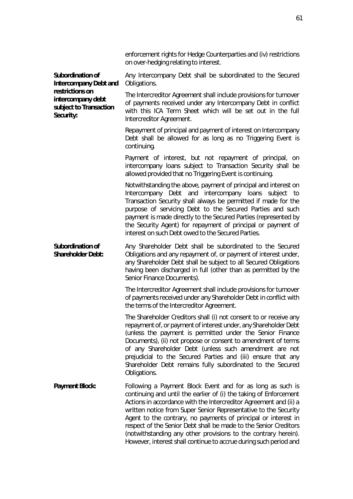|                                                                                                                                        | enforcement rights for Hedge Counterparties and (iv) restrictions<br>on over-hedging relating to interest.                                                                                                                                                                                                                                                                                                                                                                                                                                           |
|----------------------------------------------------------------------------------------------------------------------------------------|------------------------------------------------------------------------------------------------------------------------------------------------------------------------------------------------------------------------------------------------------------------------------------------------------------------------------------------------------------------------------------------------------------------------------------------------------------------------------------------------------------------------------------------------------|
| <b>Subordination of</b><br><b>Intercompany Debt and</b><br>restrictions on<br>intercompany debt<br>subject to Transaction<br>Security: | Any Intercompany Debt shall be subordinated to the Secured<br>Obligations.                                                                                                                                                                                                                                                                                                                                                                                                                                                                           |
|                                                                                                                                        | The Intercreditor Agreement shall include provisions for turnover<br>of payments received under any Intercompany Debt in conflict<br>with this ICA Term Sheet which will be set out in the full<br>Intercreditor Agreement.                                                                                                                                                                                                                                                                                                                          |
|                                                                                                                                        | Repayment of principal and payment of interest on Intercompany<br>Debt shall be allowed for as long as no Triggering Event is<br>continuing.                                                                                                                                                                                                                                                                                                                                                                                                         |
|                                                                                                                                        | Payment of interest, but not repayment of principal, on<br>intercompany loans subject to Transaction Security shall be<br>allowed provided that no Triggering Event is continuing.                                                                                                                                                                                                                                                                                                                                                                   |
|                                                                                                                                        | Notwithstanding the above, payment of principal and interest on<br>Intercompany Debt and intercompany loans subject to<br>Transaction Security shall always be permitted if made for the<br>purpose of servicing Debt to the Secured Parties and such<br>payment is made directly to the Secured Parties (represented by<br>the Security Agent) for repayment of principal or payment of<br>interest on such Debt owed to the Secured Parties.                                                                                                       |
| <b>Subordination of</b><br><b>Shareholder Debt:</b>                                                                                    | Any Shareholder Debt shall be subordinated to the Secured<br>Obligations and any repayment of, or payment of interest under,<br>any Shareholder Debt shall be subject to all Secured Obligations<br>having been discharged in full (other than as permitted by the<br>Senior Finance Documents).                                                                                                                                                                                                                                                     |
|                                                                                                                                        | The Intercreditor Agreement shall include provisions for turnover<br>of payments received under any Shareholder Debt in conflict with<br>the terms of the Intercreditor Agreement.                                                                                                                                                                                                                                                                                                                                                                   |
|                                                                                                                                        | The Shareholder Creditors shall (i) not consent to or receive any<br>repayment of, or payment of interest under, any Shareholder Debt<br>(unless the payment is permitted under the Senior Finance<br>Documents), (ii) not propose or consent to amendment of terms<br>of any Shareholder Debt (unless such amendment are not<br>prejudicial to the Secured Parties and (iii) ensure that any<br>Shareholder Debt remains fully subordinated to the Secured<br>Obligations.                                                                          |
| <b>Payment Block:</b>                                                                                                                  | Following a Payment Block Event and for as long as such is<br>continuing and until the earlier of (i) the taking of Enforcement<br>Actions in accordance with the Intercreditor Agreement and (ii) a<br>written notice from Super Senior Representative to the Security<br>Agent to the contrary, no payments of principal or interest in<br>respect of the Senior Debt shall be made to the Senior Creditors<br>(notwithstanding any other provisions to the contrary herein).<br>However, interest shall continue to accrue during such period and |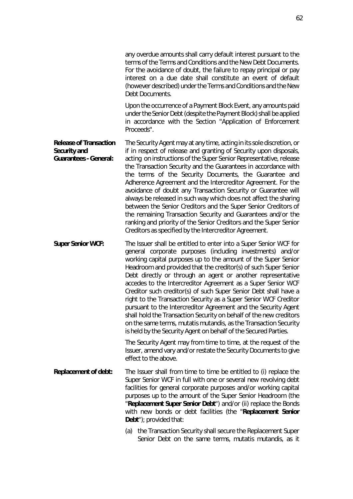any overdue amounts shall carry default interest pursuant to the terms of the Terms and Conditions and the New Debt Documents. For the avoidance of doubt, the failure to repay principal or pay interest on a due date shall constitute an event of default (however described) under the Terms and Conditions and the New Debt Documents.

Upon the occurrence of a Payment Block Event, any amounts paid under the Senior Debt (despite the Payment Block) shall be applied in accordance with the Section "Application of Enforcement Proceeds".

**Release of Transaction Security and Guarantees - General:**  The Security Agent may at any time, acting in its sole discretion, or if in respect of release and granting of Security upon disposals, acting on instructions of the Super Senior Representative, release the Transaction Security and the Guarantees in accordance with the terms of the Security Documents, the Guarantee and Adherence Agreement and the Intercreditor Agreement. For the avoidance of doubt any Transaction Security or Guarantee will always be released in such way which does not affect the sharing between the Senior Creditors and the Super Senior Creditors of the remaining Transaction Security and Guarantees and/or the ranking and priority of the Senior Creditors and the Super Senior Creditors as specified by the Intercreditor Agreement.

**Super Senior WCF:** The Issuer shall be entitled to enter into a Super Senior WCF for general corporate purposes (including investments) and/or working capital purposes up to the amount of the Super Senior Headroom and provided that the creditor(s) of such Super Senior Debt directly or through an agent or another representative accedes to the Intercreditor Agreement as a Super Senior WCF Creditor such creditor(s) of such Super Senior Debt shall have a right to the Transaction Security as a Super Senior WCF Creditor pursuant to the Intercreditor Agreement and the Security Agent shall hold the Transaction Security on behalf of the new creditors on the same terms, mutatis mutandis, as the Transaction Security is held by the Security Agent on behalf of the Secured Parties.

> The Security Agent may from time to time, at the request of the Issuer, amend vary and/or restate the Security Documents to give effect to the above.

- **Replacement of debt:** The Issuer shall from time to time be entitled to (i) replace the Super Senior WCF in full with one or several new revolving debt facilities for general corporate purposes and/or working capital purposes up to the amount of the Super Senior Headroom (the "**Replacement Super Senior Debt**") and/or (ii) replace the Bonds with new bonds or debt facilities (the "**Replacement Senior Debt**"); provided that:
	- (a) the Transaction Security shall secure the Replacement Super Senior Debt on the same terms, *mutatis mutandis*, as it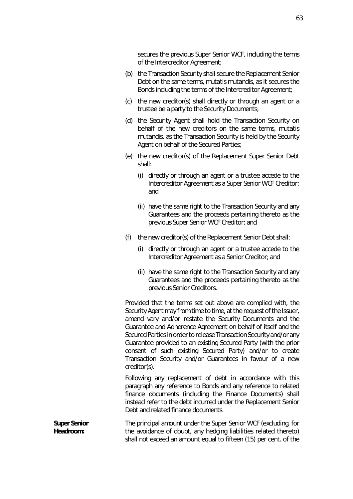secures the previous Super Senior WCF, including the terms of the Intercreditor Agreement;

- (b) the Transaction Security shall secure the Replacement Senior Debt on the same terms, *mutatis mutandis*, as it secures the Bonds including the terms of the Intercreditor Agreement;
- (c) the new creditor(s) shall directly or through an agent or a trustee be a party to the Security Documents;
- (d) the Security Agent shall hold the Transaction Security on behalf of the new creditors on the same terms, *mutatis mutandis*, as the Transaction Security is held by the Security Agent on behalf of the Secured Parties;
- (e) the new creditor(s) of the Replacement Super Senior Debt shall:
	- (i) directly or through an agent or a trustee accede to the Intercreditor Agreement as a Super Senior WCF Creditor; and
	- (ii) have the same right to the Transaction Security and any Guarantees and the proceeds pertaining thereto as the previous Super Senior WCF Creditor; and
- (f) the new creditor(s) of the Replacement Senior Debt shall:
	- (i) directly or through an agent or a trustee accede to the Intercreditor Agreement as a Senior Creditor; and
	- (ii) have the same right to the Transaction Security and any Guarantees and the proceeds pertaining thereto as the previous Senior Creditors.

Provided that the terms set out above are complied with, the Security Agent may from time to time, at the request of the Issuer, amend vary and/or restate the Security Documents and the Guarantee and Adherence Agreement on behalf of itself and the Secured Parties in order to release Transaction Security and/or any Guarantee provided to an existing Secured Party (with the prior consent of such existing Secured Party) and/or to create Transaction Security and/or Guarantees in favour of a new creditor(s).

Following any replacement of debt in accordance with this paragraph any reference to Bonds and any reference to related finance documents (including the Finance Documents) shall instead refer to the debt incurred under the Replacement Senior Debt and related finance documents.

**Super Senior Headroom:** The principal amount under the Super Senior WCF (excluding, for the avoidance of doubt, any hedging liabilities related thereto) shall not exceed an amount equal to fifteen (15) per cent. of the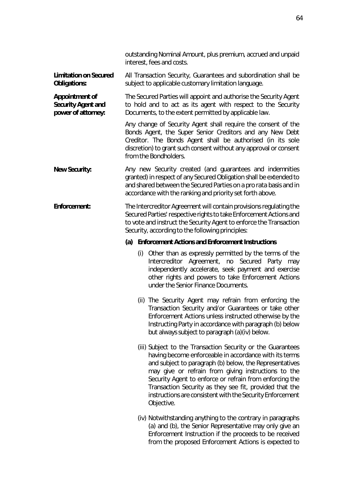|                                                                          | outstanding Nominal Amount, plus premium, accrued and unpaid<br>interest, fees and costs.                                                                                                                                                                                                          |
|--------------------------------------------------------------------------|----------------------------------------------------------------------------------------------------------------------------------------------------------------------------------------------------------------------------------------------------------------------------------------------------|
| <b>Limitation on Secured</b><br><b>Obligations:</b>                      | All Transaction Security, Guarantees and subordination shall be<br>subject to applicable customary limitation language.                                                                                                                                                                            |
| <b>Appointment of</b><br><b>Security Agent and</b><br>power of attorney: | The Secured Parties will appoint and authorise the Security Agent<br>to hold and to act as its agent with respect to the Security<br>Documents, to the extent permitted by applicable law.                                                                                                         |
|                                                                          | Any change of Security Agent shall require the consent of the<br>Bonds Agent, the Super Senior Creditors and any New Debt<br>Creditor. The Bonds Agent shall be authorised (in its sole<br>discretion) to grant such consent without any approval or consent<br>from the Bondholders.              |
| <b>New Security:</b>                                                     | Any new Security created (and guarantees and indemnities<br>granted) in respect of any Secured Obligation shall be extended to<br>and shared between the Secured Parties on a pro rata basis and in<br>accordance with the ranking and priority set forth above.                                   |
| <b>Enforcement:</b>                                                      | The Intercreditor Agreement will contain provisions regulating the<br>Secured Parties' respective rights to take Enforcement Actions and<br>to vote and instruct the Security Agent to enforce the Transaction<br>Security, according to the following principles:                                 |
|                                                                          | <b>Enforcement Actions and Enforcement Instructions</b><br>(a)                                                                                                                                                                                                                                     |
|                                                                          | (i) Other than as expressly permitted by the terms of the<br>Intercreditor Agreement, no Secured Party may<br>independently accelerate, seek payment and exercise<br>other rights and powers to take Enforcement Actions<br>under the Senior Finance Documents.                                    |
|                                                                          | (ii) The Security Agent may refrain from enforcing the<br>Transaction Security and/or Guarantees or take other<br>Enforcement Actions unless instructed otherwise by the<br>Instructing Party in accordance with paragraph (b) below<br>but always subject to paragraph (a)(iv) below.             |
|                                                                          | (iii) Subject to the Transaction Security or the Guarantees<br>having become enforceable in accordance with its terms<br>and subject to paragraph (b) below, the Representatives<br>may give or refrain from giving instructions to the<br>Security Agent to enforce or refrain from enforcing the |

Objective.

<span id="page-72-1"></span>(iv) Notwithstanding anything to the contrary in paragraphs [\(a\)](#page-72-0) and [\(b\),](#page-73-0) the Senior Representative may only give an Enforcement Instruction if the proceeds to be received from the proposed Enforcement Actions is expected to

<span id="page-72-2"></span><span id="page-72-0"></span>Transaction Security as they see fit, provided that the instructions are consistent with the Security Enforcement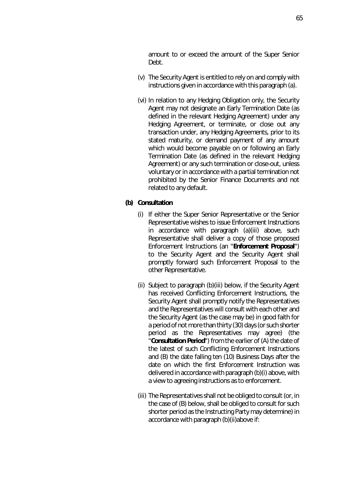amount to or exceed the amount of the Super Senior Debt.

- (v) The Security Agent is entitled to rely on and comply with instructions given in accordance with this paragraph [\(a\).](#page-72-0)
- (vi) In relation to any Hedging Obligation only, the Security Agent may not designate an Early Termination Date (as defined in the relevant Hedging Agreement) under any Hedging Agreement, or terminate, or close out any transaction under, any Hedging Agreements, prior to its stated maturity, or demand payment of any amount which would become payable on or following an Early Termination Date (as defined in the relevant Hedging Agreement) or any such termination or close-out, unless voluntary or in accordance with a partial termination not prohibited by the Senior Finance Documents and not related to any default.

## <span id="page-73-2"></span><span id="page-73-0"></span>**(b) Consultation**

- (i) If either the Super Senior Representative or the Senior Representative wishes to issue Enforcement Instructions in accordance with paragraph [\(a\)](#page-72-0)[\(iii\)](#page-72-2) above, such Representative shall deliver a copy of those proposed Enforcement Instructions (an "**Enforcement Proposal**") to the Security Agent and the Security Agent shall promptly forward such Enforcement Proposal to the other Representative.
- <span id="page-73-3"></span>(ii) Subject to paragraph [\(b\)](#page-73-0)[\(iii\)](#page-73-1) below, if the Security Agent has received Conflicting Enforcement Instructions, the Security Agent shall promptly notify the Representatives and the Representatives will consult with each other and the Security Agent (as the case may be) in good faith for a period of not more than thirty (30) days (or such shorter period as the Representatives may agree) (the "**Consultation Period**") from the earlier of (A) the date of the latest of such Conflicting Enforcement Instructions and (B) the date falling ten (10) Business Days after the date on which the first Enforcement Instruction was delivered in accordance with paragrap[h \(b\)](#page-73-0)[\(i\)](#page-73-2) above, with a view to agreeing instructions as to enforcement.
- <span id="page-73-1"></span>(iii) The Representatives shall not be obliged to consult (or, in the case of (B) below, shall be obliged to consult for such shorter period as the Instructing Party may determine) in accordance with paragrap[h \(b\)](#page-73-0)[\(ii\)a](#page-73-3)bove if: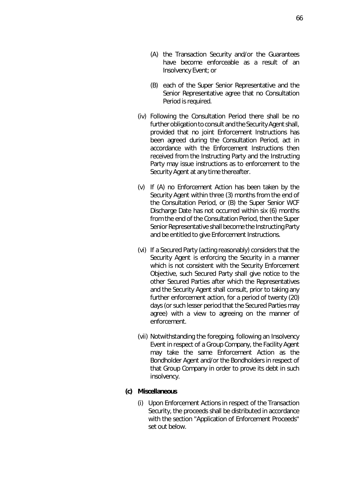- (B) each of the Super Senior Representative and the Senior Representative agree that no Consultation Period is required.
- (iv) Following the Consultation Period there shall be no further obligation to consult and the Security Agent shall, provided that no joint Enforcement Instructions has been agreed during the Consultation Period, act in accordance with the Enforcement Instructions then received from the Instructing Party and the Instructing Party may issue instructions as to enforcement to the Security Agent at any time thereafter.
- (v) If (A) no Enforcement Action has been taken by the Security Agent within three (3) months from the end of the Consultation Period, or (B) the Super Senior WCF Discharge Date has not occurred within six (6) months from the end of the Consultation Period, then the Super Senior Representative shall become the Instructing Party and be entitled to give Enforcement Instructions.
- (vi) If a Secured Party (acting reasonably) considers that the Security Agent is enforcing the Security in a manner which is not consistent with the Security Enforcement Objective, such Secured Party shall give notice to the other Secured Parties after which the Representatives and the Security Agent shall consult, prior to taking any further enforcement action, for a period of twenty (20) days (or such lesser period that the Secured Parties may agree) with a view to agreeing on the manner of enforcement.
- (vii) Notwithstanding the foregoing, following an Insolvency Event in respect of a Group Company, the Facility Agent may take the same Enforcement Action as the Bondholder Agent and/or the Bondholders in respect of that Group Company in order to prove its debt in such insolvency.

## **(c) Miscellaneous**

(i) Upon Enforcement Actions in respect of the Transaction Security, the proceeds shall be distributed in accordance with the section "Application of Enforcement Proceeds" set out below.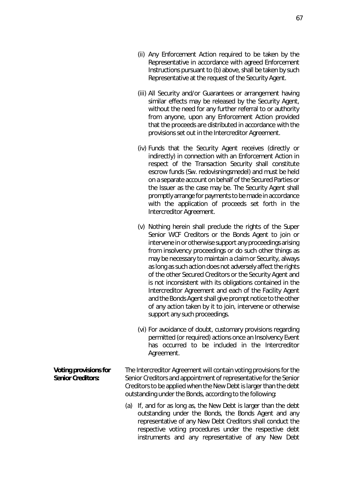- (ii) Any Enforcement Action required to be taken by the Representative in accordance with agreed Enforcement Instructions pursuant to (b) above, shall be taken by such Representative at the request of the Security Agent.
- (iii) All Security and/or Guarantees or arrangement having similar effects may be released by the Security Agent, without the need for any further referral to or authority from anyone, upon any Enforcement Action provided that the proceeds are distributed in accordance with the provisions set out in the Intercreditor Agreement.
- (iv) Funds that the Security Agent receives (directly or indirectly) in connection with an Enforcement Action in respect of the Transaction Security shall constitute escrow funds (Sw. redovisningsmedel) and must be held on a separate account on behalf of the Secured Parties or the Issuer as the case may be. The Security Agent shall promptly arrange for payments to be made in accordance with the application of proceeds set forth in the Intercreditor Agreement.
- (v) Nothing herein shall preclude the rights of the Super Senior WCF Creditors or the Bonds Agent to join or intervene in or otherwise support any proceedings arising from insolvency proceedings or do such other things as may be necessary to maintain a claim or Security, always as long as such action does not adversely affect the rights of the other Secured Creditors or the Security Agent and is not inconsistent with its obligations contained in the Intercreditor Agreement and each of the Facility Agent and the Bonds Agent shall give prompt notice to the other of any action taken by it to join, intervene or otherwise support any such proceedings.
- (vi) For avoidance of doubt, customary provisions regarding permitted (or required) actions once an Insolvency Event has occurred to be included in the Intercreditor Agreement.

**Voting provisions for Senior Creditors:**  The Intercreditor Agreement will contain voting provisions for the Senior Creditors and appointment of representative for the Senior Creditors to be applied when the New Debt is larger than the debt outstanding under the Bonds, according to the following:

> (a) If, and for as long as, the New Debt is larger than the debt outstanding under the Bonds, the Bonds Agent and any representative of any New Debt Creditors shall conduct the respective voting procedures under the respective debt instruments and any representative of any New Debt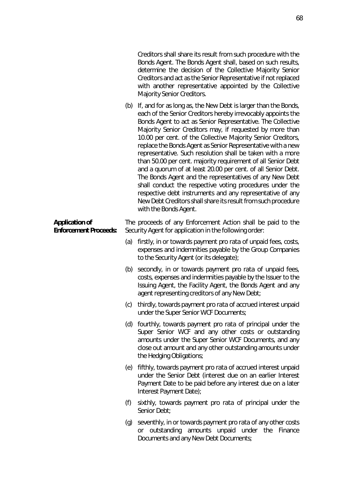Creditors shall share its result from such procedure with the Bonds Agent. The Bonds Agent shall, based on such results, determine the decision of the Collective Majority Senior Creditors and act as the Senior Representative if not replaced with another representative appointed by the Collective Majority Senior Creditors.

(b) If, and for as long as, the New Debt is larger than the Bonds, each of the Senior Creditors hereby irrevocably appoints the Bonds Agent to act as Senior Representative. The Collective Majority Senior Creditors may, if requested by more than 10.00 per cent. of the Collective Majority Senior Creditors, replace the Bonds Agent as Senior Representative with a new representative. Such resolution shall be taken with a more than 50.00 per cent. majority requirement of all Senior Debt and a quorum of at least 20.00 per cent. of all Senior Debt. The Bonds Agent and the representatives of any New Debt shall conduct the respective voting procedures under the respective debt instruments and any representative of any New Debt Creditors shall share its result from such procedure with the Bonds Agent.

The proceeds of any Enforcement Action shall be paid to the Security Agent for application in the following order:

- (a) firstly, in or towards payment *pro rata* of unpaid fees, costs, expenses and indemnities payable by the Group Companies to the Security Agent (or its delegate);
- (b) secondly, in or towards payment *pro rata* of unpaid fees, costs, expenses and indemnities payable by the Issuer to the Issuing Agent, the Facility Agent, the Bonds Agent and any agent representing creditors of any New Debt;
- (c) thirdly, towards payment *pro rata* of accrued interest unpaid under the Super Senior WCF Documents;
- (d) fourthly, towards payment *pro rata* of principal under the Super Senior WCF and any other costs or outstanding amounts under the Super Senior WCF Documents, and any close out amount and any other outstanding amounts under the Hedging Obligations;
- (e) fifthly, towards payment *pro rata* of accrued interest unpaid under the Senior Debt (interest due on an earlier Interest Payment Date to be paid before any interest due on a later Interest Payment Date);
- (f) sixthly, towards payment *pro rata* of principal under the Senior Debt;
- (g) seventhly, in or towards payment *pro rata* of any other costs or outstanding amounts unpaid under the Finance Documents and any New Debt Documents;

## **Application of Enforcement Proceeds:**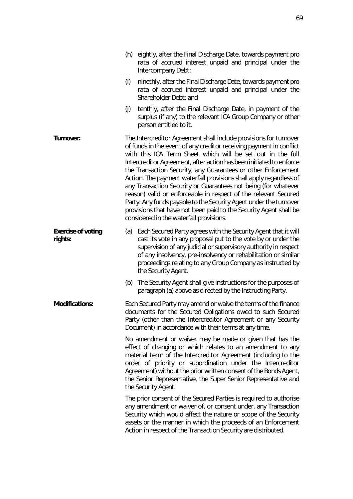|                                      | rata of accrued interest unpaid and principal under the<br>Intercompany Debt;                                                                                                                                                                                                                                                                                                                                                                                                                                                                                                                                                                                                                                                                  |
|--------------------------------------|------------------------------------------------------------------------------------------------------------------------------------------------------------------------------------------------------------------------------------------------------------------------------------------------------------------------------------------------------------------------------------------------------------------------------------------------------------------------------------------------------------------------------------------------------------------------------------------------------------------------------------------------------------------------------------------------------------------------------------------------|
|                                      | ninethly, after the Final Discharge Date, towards payment pro<br>(i)<br>rata of accrued interest unpaid and principal under the<br>Shareholder Debt; and                                                                                                                                                                                                                                                                                                                                                                                                                                                                                                                                                                                       |
|                                      | tenthly, after the Final Discharge Date, in payment of the<br>(j)<br>surplus (if any) to the relevant ICA Group Company or other<br>person entitled to it.                                                                                                                                                                                                                                                                                                                                                                                                                                                                                                                                                                                     |
| <b>Turnover:</b>                     | The Intercreditor Agreement shall include provisions for turnover<br>of funds in the event of any creditor receiving payment in conflict<br>with this ICA Term Sheet which will be set out in the full<br>Intercreditor Agreement, after action has been initiated to enforce<br>the Transaction Security, any Guarantees or other Enforcement<br>Action. The payment waterfall provisions shall apply regardless of<br>any Transaction Security or Guarantees not being (for whatever<br>reason) valid or enforceable in respect of the relevant Secured<br>Party. Any funds payable to the Security Agent under the turnover<br>provisions that have not been paid to the Security Agent shall be<br>considered in the waterfall provisions. |
| <b>Exercise of voting</b><br>rights: | (a) Each Secured Party agrees with the Security Agent that it will<br>cast its vote in any proposal put to the vote by or under the<br>supervision of any judicial or supervisory authority in respect<br>of any insolvency, pre-insolvency or rehabilitation or similar<br>proceedings relating to any Group Company as instructed by<br>the Security Agent.                                                                                                                                                                                                                                                                                                                                                                                  |
|                                      | The Security Agent shall give instructions for the purposes of<br>(b)<br>paragraph (a) above as directed by the Instructing Party.                                                                                                                                                                                                                                                                                                                                                                                                                                                                                                                                                                                                             |
| <b>Modifications:</b>                | Each Secured Party may amend or waive the terms of the finance<br>documents for the Secured Obligations owed to such Secured<br>Party (other than the Intercreditor Agreement or any Security<br>Document) in accordance with their terms at any time.                                                                                                                                                                                                                                                                                                                                                                                                                                                                                         |
|                                      | No amendment or waiver may be made or given that has the<br>effect of changing or which relates to an amendment to any<br>material term of the Intercreditor Agreement (including to the<br>order of priority or subordination under the Intercreditor<br>Agreement) without the prior written consent of the Bonds Agent,<br>the Senior Representative, the Super Senior Representative and<br>the Security Agent.                                                                                                                                                                                                                                                                                                                            |
|                                      | The prior consent of the Secured Parties is required to authorise<br>any amendment or waiver of, or consent under, any Transaction<br>Security which would affect the nature or scope of the Security<br>assets or the manner in which the proceeds of an Enforcement<br>Action in respect of the Transaction Security are distributed.                                                                                                                                                                                                                                                                                                                                                                                                        |

<span id="page-77-0"></span>(h) eightly, after the Final Discharge Date, towards payment *pro*